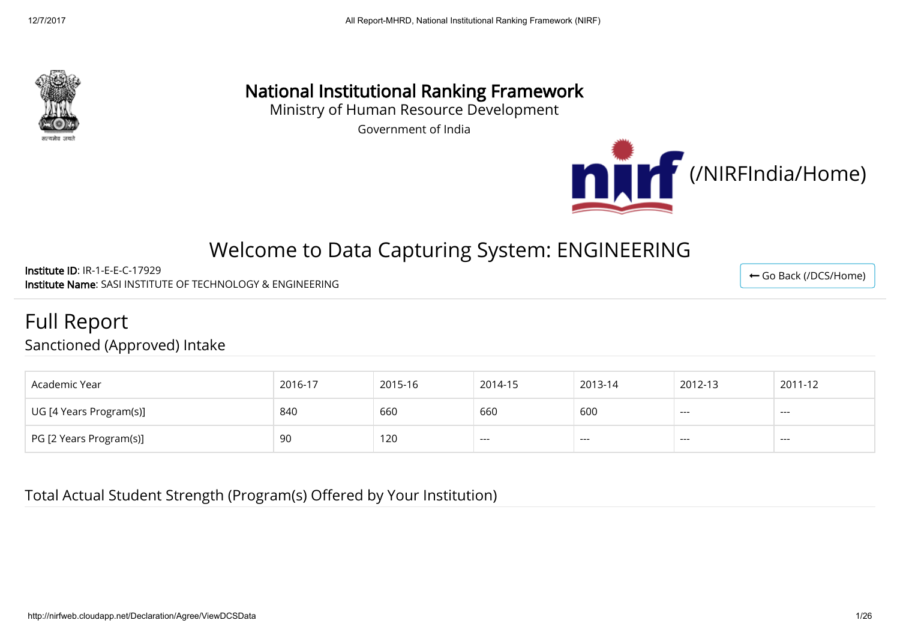

# National Institutional Ranking Framework

Ministry of Human Resource Development

Government of India



← [Go Back \(/DCS/Home\)](http://nirfweb.cloudapp.net/DCS/Home)

# Welcome to Data Capturing System: ENGINEERING

Institute ID: IR-1-E-E-C-17929 Institute Name: SASI INSTITUTE OF TECHNOLOGY & ENGINEERING

Full Report

Sanctioned (Approved) Intake

| Academic Year           | 2016-17 | 2015-16 | 2014-15 | 2013-14 | 2012-13              | 2011-12           |
|-------------------------|---------|---------|---------|---------|----------------------|-------------------|
| UG [4 Years Program(s)] | 840     | 660     | 660     | 600     | $\sim$ $\sim$ $\sim$ | ----              |
| PG [2 Years Program(s)] | -90     | 120     | ----    | ---     | ---                  | <b>STATISTICS</b> |

Total Actual Student Strength (Program(s) Offered by Your Institution)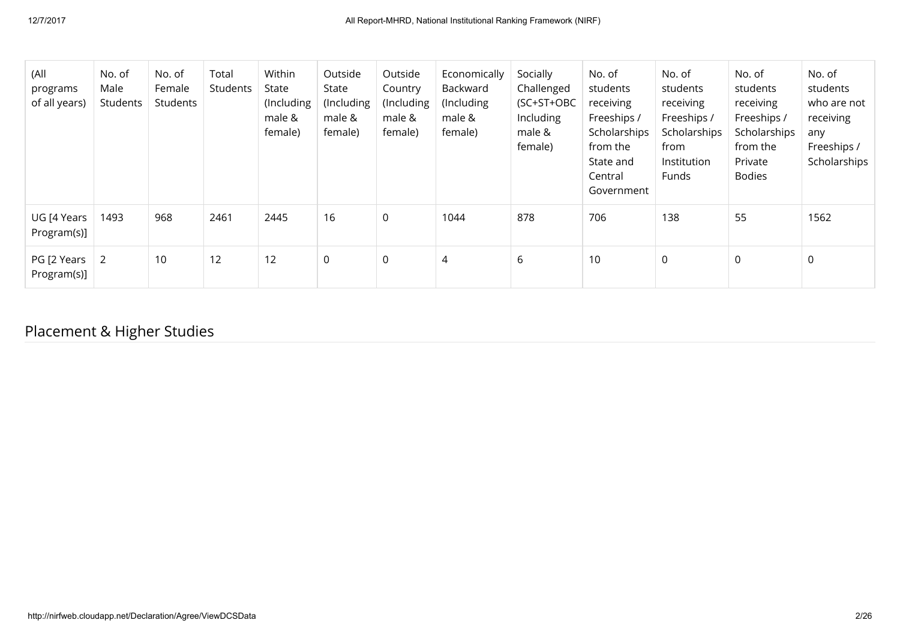| (All<br>programs<br>of all years) | No. of<br>Male<br>Students | No. of<br>Female<br>Students | Total<br>Students | Within<br>State<br>(Including<br>male &<br>female) | Outside<br>State<br>(Including<br>male &<br>female) | Outside<br>Country<br>(Including<br>male &<br>female) | Economically<br>Backward<br>(Including<br>male &<br>female) | Socially<br>Challenged<br>(SC+ST+OBC<br>Including<br>male &<br>female) | No. of<br>students<br>receiving<br>Freeships /<br>Scholarships<br>from the<br>State and<br>Central<br>Government | No. of<br>students<br>receiving<br>Freeships /<br>Scholarships<br>from<br>Institution<br>Funds | No. of<br>students<br>receiving<br>Freeships /<br>Scholarships<br>from the<br>Private<br><b>Bodies</b> | No. of<br>students<br>who are not<br>receiving<br>any<br>Freeships /<br>Scholarships |
|-----------------------------------|----------------------------|------------------------------|-------------------|----------------------------------------------------|-----------------------------------------------------|-------------------------------------------------------|-------------------------------------------------------------|------------------------------------------------------------------------|------------------------------------------------------------------------------------------------------------------|------------------------------------------------------------------------------------------------|--------------------------------------------------------------------------------------------------------|--------------------------------------------------------------------------------------|
| UG [4 Years<br>Program(s)]        | 1493                       | 968                          | 2461              | 2445                                               | 16                                                  | $\mathbf 0$                                           | 1044                                                        | 878                                                                    | 706                                                                                                              | 138                                                                                            | 55                                                                                                     | 1562                                                                                 |
| PG [2 Years<br>Program(s)]        | $\vert 2 \vert$            | 10                           | 12                | 12                                                 | $\mathsf 0$                                         | $\mathsf 0$                                           | 4                                                           | 6                                                                      | 10                                                                                                               | $\mathbf 0$                                                                                    | 0                                                                                                      | $\mathbf 0$                                                                          |

# Placement & Higher Studies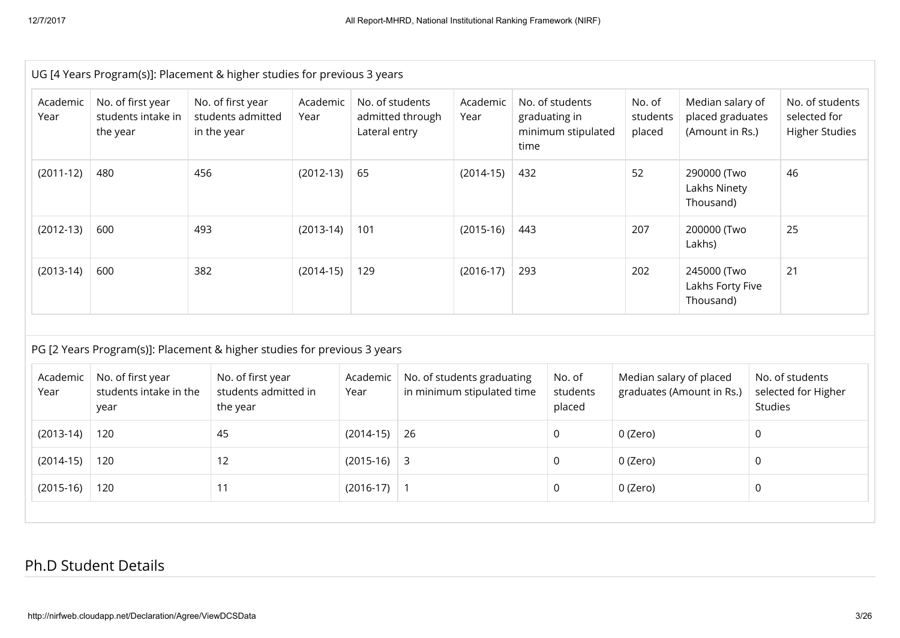|                  |                                                     | UG [4 Years Program(s)]: Placement & higher studies for previous 3 years |                  |                                  |                  |                                                          |      |                                                        |                              |                                                         |                     |                                                          |  |
|------------------|-----------------------------------------------------|--------------------------------------------------------------------------|------------------|----------------------------------|------------------|----------------------------------------------------------|------|--------------------------------------------------------|------------------------------|---------------------------------------------------------|---------------------|----------------------------------------------------------|--|
| Academic<br>Year | No. of first year<br>students intake in<br>the year | No. of first year<br>students admitted<br>in the year                    | Academic<br>Year | No. of students<br>Lateral entry | admitted through | Academic<br>Year                                         | time | No. of students<br>graduating in<br>minimum stipulated | No. of<br>students<br>placed | Median salary of<br>placed graduates<br>(Amount in Rs.) |                     | No. of students<br>selected for<br><b>Higher Studies</b> |  |
| $(2011-12)$      | 480                                                 | 456                                                                      | $(2012-13)$      | 65                               |                  | $(2014-15)$                                              | 432  |                                                        | 52                           | 290000 (Two<br>Lakhs Ninety<br>Thousand)                |                     | 46                                                       |  |
| $(2012-13)$      | 600                                                 | 493                                                                      | $(2013-14)$      | 101                              |                  | $(2015-16)$                                              | 443  |                                                        | 207                          | 25<br>200000 (Two<br>Lakhs)                             |                     |                                                          |  |
| $(2013-14)$      | 600                                                 | 382                                                                      | $(2014-15)$      | 129                              | $(2016-17)$      |                                                          | 293  |                                                        | 202                          | 21<br>245000 (Two<br>Lakhs Forty Five<br>Thousand)      |                     |                                                          |  |
|                  |                                                     | PG [2 Years Program(s)]: Placement & higher studies for previous 3 years |                  |                                  |                  |                                                          |      |                                                        |                              |                                                         |                     |                                                          |  |
| Academic<br>Year | No. of first year<br>students intake in the<br>year | No. of first year<br>students admitted in<br>the year                    |                  | Academic<br>Year                 |                  | No. of students graduating<br>in minimum stipulated time |      | No. of<br>students<br>placed                           | Median salary of placed      | graduates (Amount in Rs.)                               | Studies             | No. of students<br>selected for Higher                   |  |
| $(2013-14)$      | 120                                                 | 45                                                                       |                  | $(2014-15)$                      | 26               |                                                          |      | 0                                                      | 0 (Zero)                     |                                                         | $\mathbf 0$         |                                                          |  |
| $(2014-15)$      | 120                                                 | 12                                                                       |                  | $(2015-16)$                      | 3                |                                                          |      | 0<br>0 (Zero)                                          |                              |                                                         | $\mathbf 0$         |                                                          |  |
|                  | 120                                                 | 11                                                                       |                  | $(2016-17)$                      | $\vert$ 1        |                                                          |      | 0                                                      | 0 (Zero)                     |                                                         | $\mathsf{O}\xspace$ |                                                          |  |

### Ph.D Student Details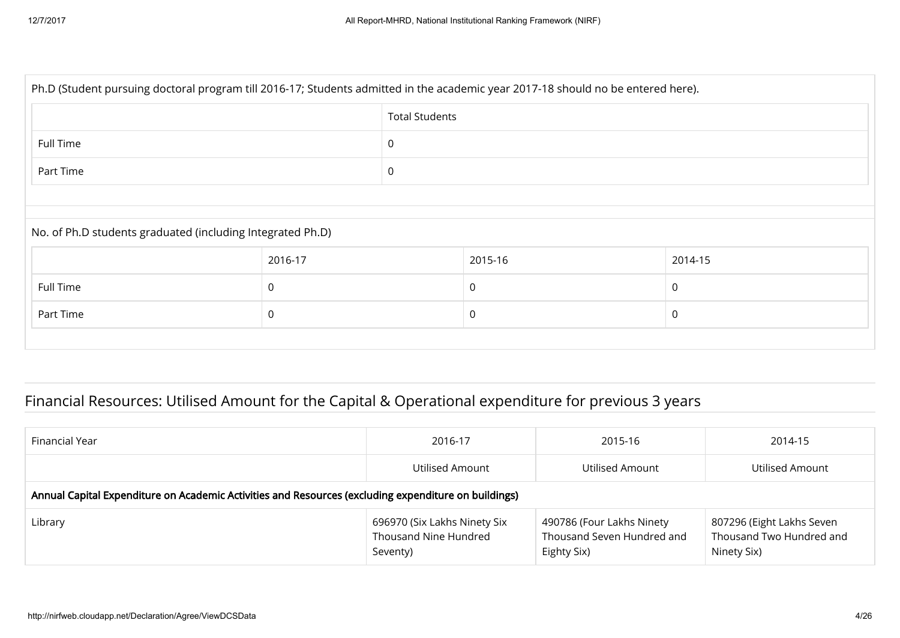| Ph.D (Student pursuing doctoral program till 2016-17; Students admitted in the academic year 2017-18 should no be entered here). |                       |             |         |              |  |  |  |  |  |
|----------------------------------------------------------------------------------------------------------------------------------|-----------------------|-------------|---------|--------------|--|--|--|--|--|
| <b>Total Students</b>                                                                                                            |                       |             |         |              |  |  |  |  |  |
| Full Time<br>$\mathbf 0$                                                                                                         |                       |             |         |              |  |  |  |  |  |
| Part Time                                                                                                                        |                       | $\mathbf 0$ |         |              |  |  |  |  |  |
|                                                                                                                                  |                       |             |         |              |  |  |  |  |  |
| No. of Ph.D students graduated (including Integrated Ph.D)                                                                       |                       |             |         |              |  |  |  |  |  |
|                                                                                                                                  | 2016-17               |             | 2015-16 | 2014-15      |  |  |  |  |  |
| Full Time                                                                                                                        | 0                     |             | 0       | $\mathbf{0}$ |  |  |  |  |  |
| Part Time                                                                                                                        | $\mathbf 0$<br>0<br>0 |             |         |              |  |  |  |  |  |
|                                                                                                                                  |                       |             |         |              |  |  |  |  |  |

# Financial Resources: Utilised Amount for the Capital & Operational expenditure for previous 3 years

| Financial Year                                                                                       | 2016-17                                                           | 2015-16                                                                | 2014-15                                                              |  |  |  |  |  |
|------------------------------------------------------------------------------------------------------|-------------------------------------------------------------------|------------------------------------------------------------------------|----------------------------------------------------------------------|--|--|--|--|--|
|                                                                                                      | Utilised Amount                                                   | Utilised Amount                                                        | Utilised Amount                                                      |  |  |  |  |  |
| Annual Capital Expenditure on Academic Activities and Resources (excluding expenditure on buildings) |                                                                   |                                                                        |                                                                      |  |  |  |  |  |
| Library                                                                                              | 696970 (Six Lakhs Ninety Six<br>Thousand Nine Hundred<br>Seventy) | 490786 (Four Lakhs Ninety<br>Thousand Seven Hundred and<br>Eighty Six) | 807296 (Eight Lakhs Seven<br>Thousand Two Hundred and<br>Ninety Six) |  |  |  |  |  |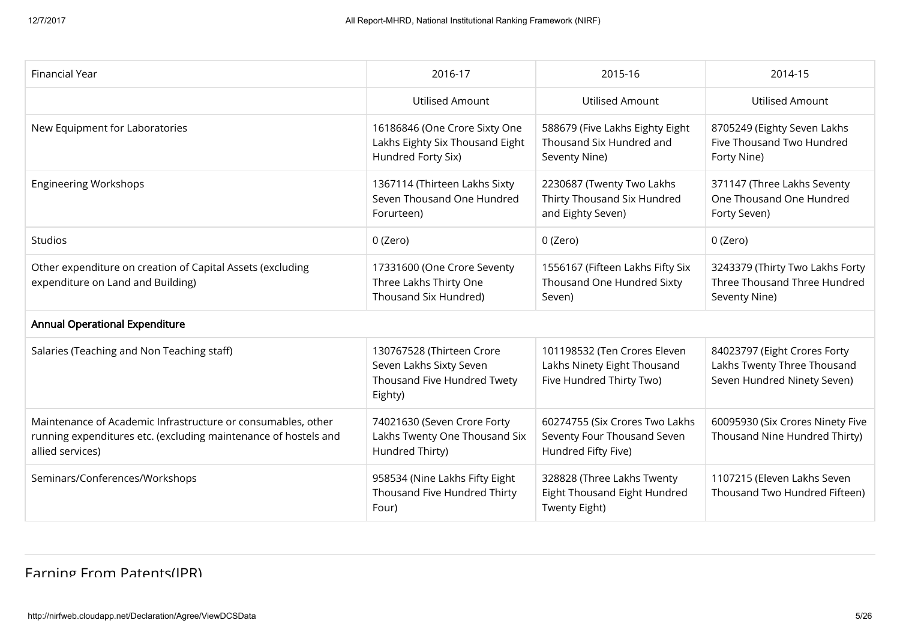| <b>Financial Year</b>                                                                                                                               | 2016-17                                                                                        | 2015-16                                                                                 | 2014-15                                                                                    |
|-----------------------------------------------------------------------------------------------------------------------------------------------------|------------------------------------------------------------------------------------------------|-----------------------------------------------------------------------------------------|--------------------------------------------------------------------------------------------|
|                                                                                                                                                     | <b>Utilised Amount</b>                                                                         | <b>Utilised Amount</b>                                                                  | <b>Utilised Amount</b>                                                                     |
| New Equipment for Laboratories                                                                                                                      | 16186846 (One Crore Sixty One<br>Lakhs Eighty Six Thousand Eight<br>Hundred Forty Six)         | 588679 (Five Lakhs Eighty Eight<br>Thousand Six Hundred and<br>Seventy Nine)            | 8705249 (Eighty Seven Lakhs<br>Five Thousand Two Hundred<br>Forty Nine)                    |
| <b>Engineering Workshops</b>                                                                                                                        | 1367114 (Thirteen Lakhs Sixty<br>Seven Thousand One Hundred<br>Forurteen)                      | 2230687 (Twenty Two Lakhs<br>Thirty Thousand Six Hundred<br>and Eighty Seven)           | 371147 (Three Lakhs Seventy<br>One Thousand One Hundred<br>Forty Seven)                    |
| Studios                                                                                                                                             | 0 (Zero)                                                                                       | 0 (Zero)                                                                                | 0 (Zero)                                                                                   |
| Other expenditure on creation of Capital Assets (excluding<br>expenditure on Land and Building)                                                     | 17331600 (One Crore Seventy<br>Three Lakhs Thirty One<br>Thousand Six Hundred)                 | 1556167 (Fifteen Lakhs Fifty Six<br>Thousand One Hundred Sixty<br>Seven)                | 3243379 (Thirty Two Lakhs Forty<br>Three Thousand Three Hundred<br>Seventy Nine)           |
| <b>Annual Operational Expenditure</b>                                                                                                               |                                                                                                |                                                                                         |                                                                                            |
| Salaries (Teaching and Non Teaching staff)                                                                                                          | 130767528 (Thirteen Crore<br>Seven Lakhs Sixty Seven<br>Thousand Five Hundred Twety<br>Eighty) | 101198532 (Ten Crores Eleven<br>Lakhs Ninety Eight Thousand<br>Five Hundred Thirty Two) | 84023797 (Eight Crores Forty<br>Lakhs Twenty Three Thousand<br>Seven Hundred Ninety Seven) |
| Maintenance of Academic Infrastructure or consumables, other<br>running expenditures etc. (excluding maintenance of hostels and<br>allied services) | 74021630 (Seven Crore Forty<br>Lakhs Twenty One Thousand Six<br>Hundred Thirty)                | 60274755 (Six Crores Two Lakhs<br>Seventy Four Thousand Seven<br>Hundred Fifty Five)    | 60095930 (Six Crores Ninety Five<br>Thousand Nine Hundred Thirty)                          |
| Seminars/Conferences/Workshops                                                                                                                      | 958534 (Nine Lakhs Fifty Eight<br>Thousand Five Hundred Thirty<br>Four)                        | 328828 (Three Lakhs Twenty<br>Eight Thousand Eight Hundred<br>Twenty Eight)             | 1107215 (Eleven Lakhs Seven<br>Thousand Two Hundred Fifteen)                               |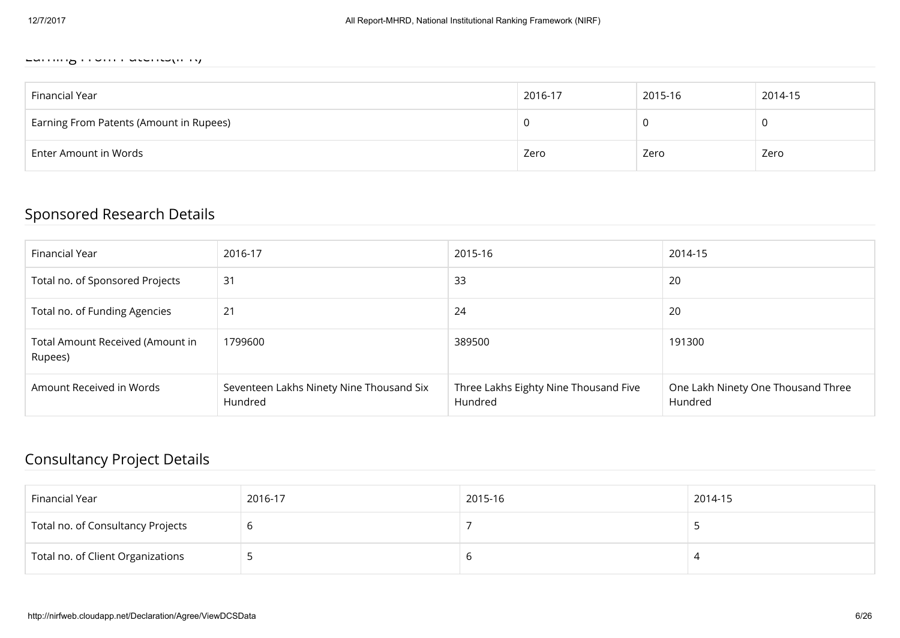#### $E$

| Financial Year                          | 2016-17 | 2015-16 | 2014-15 |
|-----------------------------------------|---------|---------|---------|
| Earning From Patents (Amount in Rupees) |         |         |         |
| Enter Amount in Words                   | Zero    | Zero    | Zero    |

### Sponsored Research Details

| Financial Year                              | 2016-17                                             | 2015-16                                          | 2014-15                                       |
|---------------------------------------------|-----------------------------------------------------|--------------------------------------------------|-----------------------------------------------|
| Total no. of Sponsored Projects             | 31                                                  | 33                                               | 20                                            |
| Total no. of Funding Agencies               | 21                                                  | 24                                               | 20                                            |
| Total Amount Received (Amount in<br>Rupees) | 1799600                                             | 389500                                           | 191300                                        |
| Amount Received in Words                    | Seventeen Lakhs Ninety Nine Thousand Six<br>Hundred | Three Lakhs Eighty Nine Thousand Five<br>Hundred | One Lakh Ninety One Thousand Three<br>Hundred |

### Consultancy Project Details

| Financial Year                    | 2016-17 | 2015-16 | 2014-15 |
|-----------------------------------|---------|---------|---------|
| Total no. of Consultancy Projects |         |         |         |
| Total no. of Client Organizations |         | O       |         |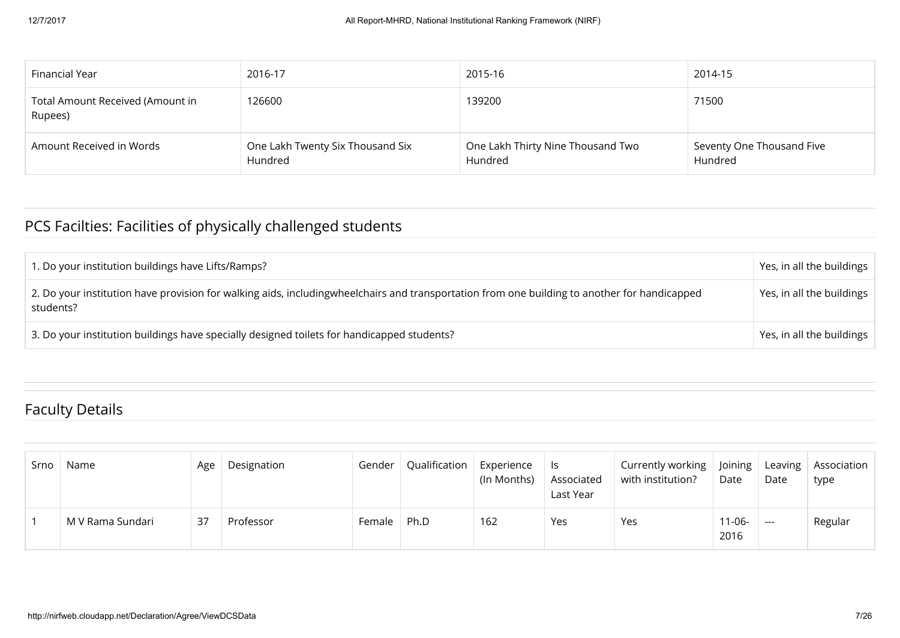| Financial Year                              | 2016-17                                     | 2015-16                                      | 2014-15                              |
|---------------------------------------------|---------------------------------------------|----------------------------------------------|--------------------------------------|
| Total Amount Received (Amount in<br>Rupees) | 126600                                      | 139200                                       | 71500                                |
| Amount Received in Words                    | One Lakh Twenty Six Thousand Six<br>Hundred | One Lakh Thirty Nine Thousand Two<br>Hundred | Seventy One Thousand Five<br>Hundred |

# PCS Facilties: Facilities of physically challenged students

| 1. Do your institution buildings have Lifts/Ramps?                                                                                                        | Yes, in all the buildings |
|-----------------------------------------------------------------------------------------------------------------------------------------------------------|---------------------------|
| 2. Do your institution have provision for walking aids, includingwheelchairs and transportation from one building to another for handicapped<br>students? | Yes, in all the buildings |
| 3. Do your institution buildings have specially designed toilets for handicapped students?                                                                | Yes, in all the buildings |

### Faculty Details

| Srno | Name             | Age | Designation | Gender | Qualification | Experience<br>(In Months) | ls.<br>Associated<br>Last Year | Currently working   Joining<br>with institution? | Date                | Date          | Leaving   Association<br>type |
|------|------------------|-----|-------------|--------|---------------|---------------------------|--------------------------------|--------------------------------------------------|---------------------|---------------|-------------------------------|
|      | M V Rama Sundari | 37  | Professor   | Female | Ph.D          | 162                       | Yes                            | Yes                                              | $11 - 06 -$<br>2016 | $\sim$ $\sim$ | Regular                       |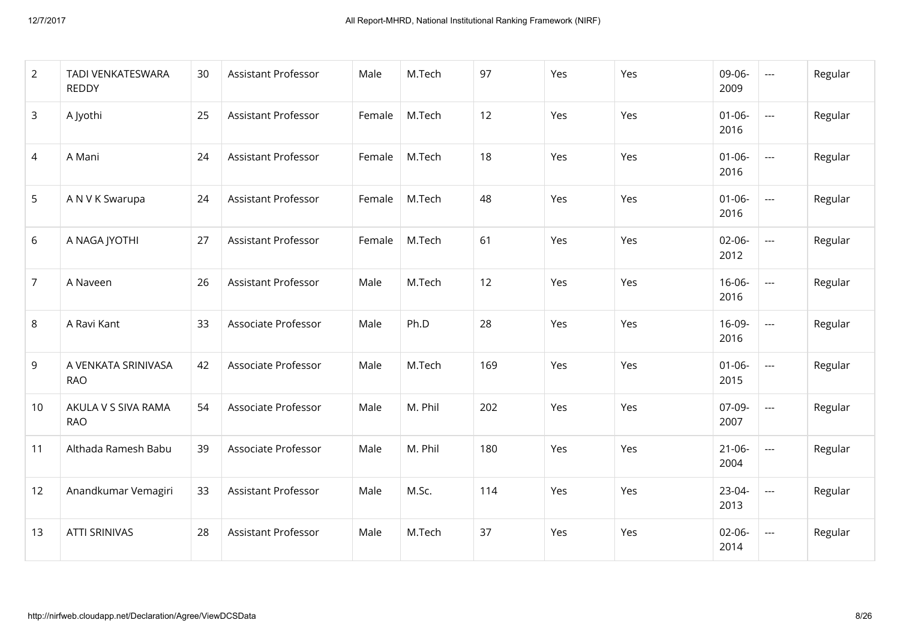| 2              | TADI VENKATESWARA<br><b>REDDY</b> | 30 | <b>Assistant Professor</b> | Male   | M.Tech  | 97  | Yes | Yes | 09-06-<br>2009      | $\sim$ $\sim$            | Regular |
|----------------|-----------------------------------|----|----------------------------|--------|---------|-----|-----|-----|---------------------|--------------------------|---------|
| 3              | A Jyothi                          | 25 | <b>Assistant Professor</b> | Female | M.Tech  | 12  | Yes | Yes | $01 - 06 -$<br>2016 | $\sim$                   | Regular |
| 4              | A Mani                            | 24 | <b>Assistant Professor</b> | Female | M.Tech  | 18  | Yes | Yes | $01 - 06 -$<br>2016 | $\overline{\phantom{a}}$ | Regular |
| 5              | A N V K Swarupa                   | 24 | <b>Assistant Professor</b> | Female | M.Tech  | 48  | Yes | Yes | $01 - 06 -$<br>2016 | $\frac{1}{2}$            | Regular |
| 6              | A NAGA JYOTHI                     | 27 | <b>Assistant Professor</b> | Female | M.Tech  | 61  | Yes | Yes | $02 - 06 -$<br>2012 | $\frac{1}{2}$            | Regular |
| $\overline{7}$ | A Naveen                          | 26 | <b>Assistant Professor</b> | Male   | M.Tech  | 12  | Yes | Yes | $16 - 06 -$<br>2016 | $\sim$                   | Regular |
| 8              | A Ravi Kant                       | 33 | Associate Professor        | Male   | Ph.D    | 28  | Yes | Yes | 16-09-<br>2016      | $\sim$                   | Regular |
| 9              | A VENKATA SRINIVASA<br><b>RAO</b> | 42 | Associate Professor        | Male   | M.Tech  | 169 | Yes | Yes | $01 - 06 -$<br>2015 | $\sim$ $\sim$            | Regular |
| 10             | AKULA V S SIVA RAMA<br><b>RAO</b> | 54 | Associate Professor        | Male   | M. Phil | 202 | Yes | Yes | 07-09-<br>2007      | $\sim$ $\sim$            | Regular |
| 11             | Althada Ramesh Babu               | 39 | Associate Professor        | Male   | M. Phil | 180 | Yes | Yes | $21 - 06 -$<br>2004 | $\frac{1}{2}$            | Regular |
| 12             | Anandkumar Vemagiri               | 33 | <b>Assistant Professor</b> | Male   | M.Sc.   | 114 | Yes | Yes | $23-04-$<br>2013    | $\frac{1}{2}$            | Regular |
| 13             | <b>ATTI SRINIVAS</b>              | 28 | <b>Assistant Professor</b> | Male   | M.Tech  | 37  | Yes | Yes | $02 - 06 -$<br>2014 | $\sim$ $\sim$            | Regular |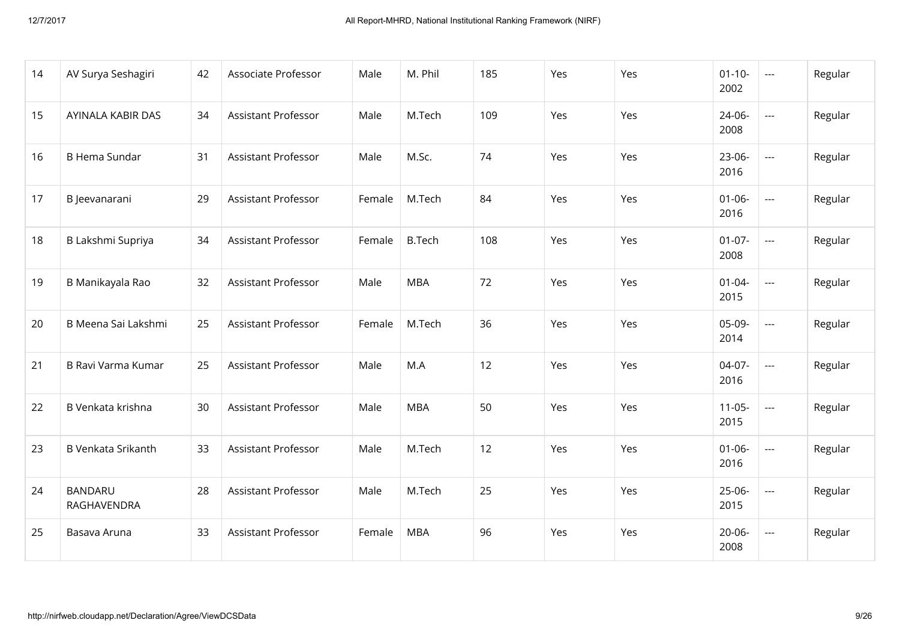| 14 | AV Surya Seshagiri            | 42 | Associate Professor        | Male   | M. Phil       | 185 | Yes | Yes | $01 - 10 -$<br>2002 | $\frac{1}{2}$ | Regular |
|----|-------------------------------|----|----------------------------|--------|---------------|-----|-----|-----|---------------------|---------------|---------|
| 15 | AYINALA KABIR DAS             | 34 | <b>Assistant Professor</b> | Male   | M.Tech        | 109 | Yes | Yes | $24 - 06 -$<br>2008 | $\sim$        | Regular |
| 16 | <b>B Hema Sundar</b>          | 31 | <b>Assistant Professor</b> | Male   | M.Sc.         | 74  | Yes | Yes | $23-06-$<br>2016    | $\frac{1}{2}$ | Regular |
| 17 | B Jeevanarani                 | 29 | <b>Assistant Professor</b> | Female | M.Tech        | 84  | Yes | Yes | $01 - 06 -$<br>2016 | $\frac{1}{2}$ | Regular |
| 18 | B Lakshmi Supriya             | 34 | <b>Assistant Professor</b> | Female | <b>B.Tech</b> | 108 | Yes | Yes | $01 - 07 -$<br>2008 | $\sim$        | Regular |
| 19 | B Manikayala Rao              | 32 | <b>Assistant Professor</b> | Male   | <b>MBA</b>    | 72  | Yes | Yes | $01 - 04 -$<br>2015 | $\sim$ $\sim$ | Regular |
| 20 | B Meena Sai Lakshmi           | 25 | <b>Assistant Professor</b> | Female | M.Tech        | 36  | Yes | Yes | 05-09-<br>2014      | $\sim$        | Regular |
| 21 | B Ravi Varma Kumar            | 25 | <b>Assistant Professor</b> | Male   | M.A           | 12  | Yes | Yes | $04-07-$<br>2016    | $\sim$ $\sim$ | Regular |
| 22 | B Venkata krishna             | 30 | <b>Assistant Professor</b> | Male   | <b>MBA</b>    | 50  | Yes | Yes | $11-05-$<br>2015    | $\sim$ $\sim$ | Regular |
| 23 | <b>B Venkata Srikanth</b>     | 33 | <b>Assistant Professor</b> | Male   | M.Tech        | 12  | Yes | Yes | $01 - 06 -$<br>2016 | $\sim$        | Regular |
| 24 | <b>BANDARU</b><br>RAGHAVENDRA | 28 | <b>Assistant Professor</b> | Male   | M.Tech        | 25  | Yes | Yes | $25 - 06 -$<br>2015 | $\frac{1}{2}$ | Regular |
| 25 | Basava Aruna                  | 33 | <b>Assistant Professor</b> | Female | <b>MBA</b>    | 96  | Yes | Yes | $20 - 06 -$<br>2008 | $\frac{1}{2}$ | Regular |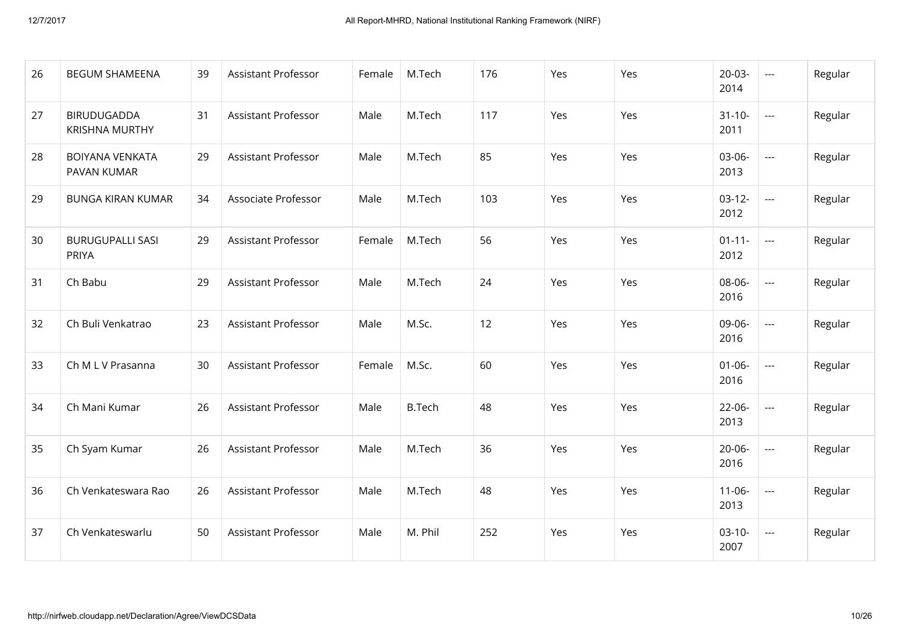| 26 | <b>BEGUM SHAMEENA</b>                       | 39 | <b>Assistant Professor</b> | Female | M.Tech        | 176 | Yes | Yes | $20 - 03 -$<br>2014 | $\sim$                   | Regular |
|----|---------------------------------------------|----|----------------------------|--------|---------------|-----|-----|-----|---------------------|--------------------------|---------|
| 27 | <b>BIRUDUGADDA</b><br><b>KRISHNA MURTHY</b> | 31 | <b>Assistant Professor</b> | Male   | M.Tech        | 117 | Yes | Yes | $31 - 10 -$<br>2011 | $\sim$                   | Regular |
| 28 | <b>BOIYANA VENKATA</b><br>PAVAN KUMAR       | 29 | <b>Assistant Professor</b> | Male   | M.Tech        | 85  | Yes | Yes | 03-06-<br>2013      | $\frac{1}{2}$            | Regular |
| 29 | <b>BUNGA KIRAN KUMAR</b>                    | 34 | Associate Professor        | Male   | M.Tech        | 103 | Yes | Yes | $03-12-$<br>2012    | $\frac{1}{2}$            | Regular |
| 30 | <b>BURUGUPALLI SASI</b><br>PRIYA            | 29 | <b>Assistant Professor</b> | Female | M.Tech        | 56  | Yes | Yes | $01 - 11 -$<br>2012 | $\sim$                   | Regular |
| 31 | Ch Babu                                     | 29 | <b>Assistant Professor</b> | Male   | M.Tech        | 24  | Yes | Yes | 08-06-<br>2016      | $\overline{\phantom{a}}$ | Regular |
| 32 | Ch Buli Venkatrao                           | 23 | <b>Assistant Professor</b> | Male   | M.Sc.         | 12  | Yes | Yes | 09-06-<br>2016      | $\sim$                   | Regular |
| 33 | Ch M L V Prasanna                           | 30 | <b>Assistant Professor</b> | Female | M.Sc.         | 60  | Yes | Yes | $01 - 06 -$<br>2016 | $\frac{1}{2}$            | Regular |
| 34 | Ch Mani Kumar                               | 26 | <b>Assistant Professor</b> | Male   | <b>B.Tech</b> | 48  | Yes | Yes | $22 - 06 -$<br>2013 | $\sim$                   | Regular |
| 35 | Ch Syam Kumar                               | 26 | <b>Assistant Professor</b> | Male   | M.Tech        | 36  | Yes | Yes | $20 - 06 -$<br>2016 | $\sim$                   | Regular |
| 36 | Ch Venkateswara Rao                         | 26 | <b>Assistant Professor</b> | Male   | M.Tech        | 48  | Yes | Yes | $11-06-$<br>2013    | $\sim$                   | Regular |
| 37 | Ch Venkateswarlu                            | 50 | <b>Assistant Professor</b> | Male   | M. Phil       | 252 | Yes | Yes | $03-10-$<br>2007    | $\frac{1}{2}$            | Regular |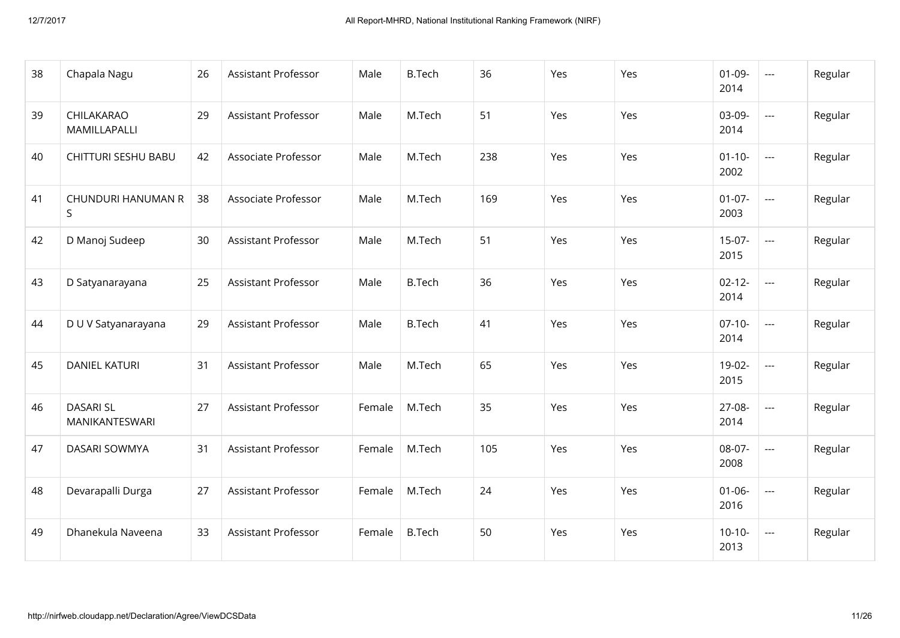| 38 | Chapala Nagu                       | 26 | <b>Assistant Professor</b> | Male   | <b>B.Tech</b> | 36  | Yes | Yes | $01-09-$<br>2014    | $\sim$                   | Regular |
|----|------------------------------------|----|----------------------------|--------|---------------|-----|-----|-----|---------------------|--------------------------|---------|
| 39 | CHILAKARAO<br>MAMILLAPALLI         | 29 | <b>Assistant Professor</b> | Male   | M.Tech        | 51  | Yes | Yes | 03-09-<br>2014      | $\overline{\phantom{a}}$ | Regular |
| 40 | <b>CHITTURI SESHU BABU</b>         | 42 | Associate Professor        | Male   | M.Tech        | 238 | Yes | Yes | $01 - 10 -$<br>2002 | $\sim$                   | Regular |
| 41 | CHUNDURI HANUMAN R<br>S.           | 38 | Associate Professor        | Male   | M.Tech        | 169 | Yes | Yes | $01-07-$<br>2003    | $\sim$                   | Regular |
| 42 | D Manoj Sudeep                     | 30 | <b>Assistant Professor</b> | Male   | M.Tech        | 51  | Yes | Yes | $15-07-$<br>2015    | $\sim$                   | Regular |
| 43 | D Satyanarayana                    | 25 | <b>Assistant Professor</b> | Male   | <b>B.Tech</b> | 36  | Yes | Yes | $02 - 12 -$<br>2014 | $\frac{1}{2}$            | Regular |
| 44 | D U V Satyanarayana                | 29 | Assistant Professor        | Male   | <b>B.Tech</b> | 41  | Yes | Yes | $07-10-$<br>2014    | $\sim$                   | Regular |
| 45 | <b>DANIEL KATURI</b>               | 31 | <b>Assistant Professor</b> | Male   | M.Tech        | 65  | Yes | Yes | 19-02-<br>2015      | $\sim$ $\sim$            | Regular |
| 46 | <b>DASARI SL</b><br>MANIKANTESWARI | 27 | <b>Assistant Professor</b> | Female | M.Tech        | 35  | Yes | Yes | 27-08-<br>2014      | $\frac{1}{2}$            | Regular |
| 47 | <b>DASARI SOWMYA</b>               | 31 | <b>Assistant Professor</b> | Female | M.Tech        | 105 | Yes | Yes | 08-07-<br>2008      | $\sim$ $\sim$            | Regular |
| 48 | Devarapalli Durga                  | 27 | <b>Assistant Professor</b> | Female | M.Tech        | 24  | Yes | Yes | $01 - 06 -$<br>2016 | $\frac{1}{2}$            | Regular |
| 49 | Dhanekula Naveena                  | 33 | Assistant Professor        | Female | <b>B.Tech</b> | 50  | Yes | Yes | $10-10-$<br>2013    | $\sim$ $\sim$            | Regular |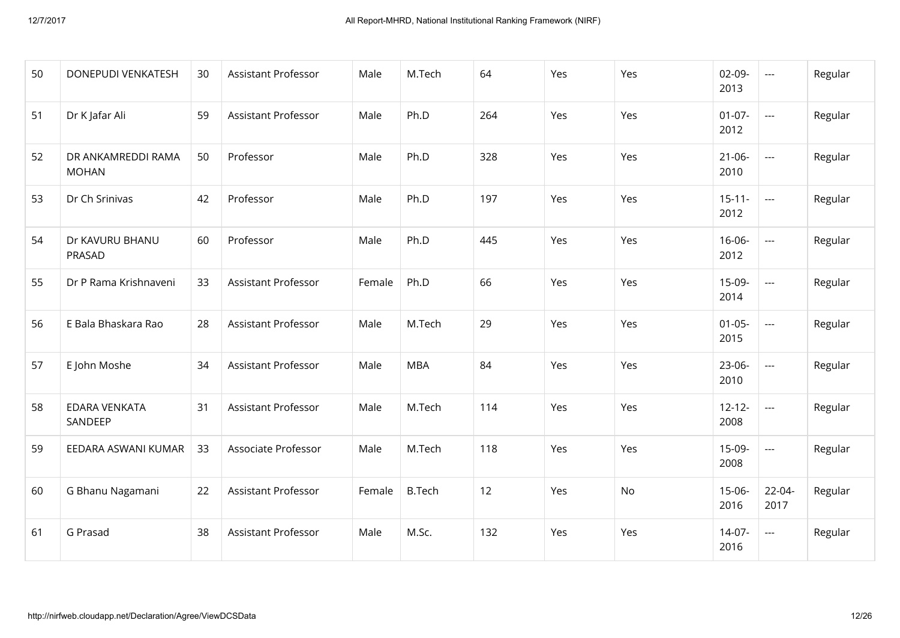| 50 | DONEPUDI VENKATESH                 | 30 | <b>Assistant Professor</b> | Male   | M.Tech        | 64  | Yes | Yes | $02 - 09 -$<br>2013 | $\sim$              | Regular |
|----|------------------------------------|----|----------------------------|--------|---------------|-----|-----|-----|---------------------|---------------------|---------|
| 51 | Dr K Jafar Ali                     | 59 | <b>Assistant Professor</b> | Male   | Ph.D          | 264 | Yes | Yes | $01-07-$<br>2012    | $\sim$ $\sim$       | Regular |
| 52 | DR ANKAMREDDI RAMA<br><b>MOHAN</b> | 50 | Professor                  | Male   | Ph.D          | 328 | Yes | Yes | $21 - 06 -$<br>2010 | $\sim$              | Regular |
| 53 | Dr Ch Srinivas                     | 42 | Professor                  | Male   | Ph.D          | 197 | Yes | Yes | $15 - 11 -$<br>2012 | $\frac{1}{2}$       | Regular |
| 54 | Dr KAVURU BHANU<br>PRASAD          | 60 | Professor                  | Male   | Ph.D          | 445 | Yes | Yes | $16 - 06 -$<br>2012 | $\sim$              | Regular |
| 55 | Dr P Rama Krishnaveni              | 33 | <b>Assistant Professor</b> | Female | Ph.D          | 66  | Yes | Yes | $15-09-$<br>2014    | $\frac{1}{2}$       | Regular |
| 56 | E Bala Bhaskara Rao                | 28 | <b>Assistant Professor</b> | Male   | M.Tech        | 29  | Yes | Yes | $01 - 05 -$<br>2015 | $\frac{1}{2}$       | Regular |
| 57 | E John Moshe                       | 34 | <b>Assistant Professor</b> | Male   | <b>MBA</b>    | 84  | Yes | Yes | $23-06-$<br>2010    | $\sim$ $\sim$       | Regular |
| 58 | <b>EDARA VENKATA</b><br>SANDEEP    | 31 | <b>Assistant Professor</b> | Male   | M.Tech        | 114 | Yes | Yes | $12 - 12 -$<br>2008 | $\frac{1}{2}$       | Regular |
| 59 | EEDARA ASWANI KUMAR                | 33 | Associate Professor        | Male   | M.Tech        | 118 | Yes | Yes | $15-09-$<br>2008    | $\frac{1}{2}$       | Regular |
| 60 | G Bhanu Nagamani                   | 22 | <b>Assistant Professor</b> | Female | <b>B.Tech</b> | 12  | Yes | No  | $15 - 06 -$<br>2016 | $22 - 04 -$<br>2017 | Regular |
| 61 | G Prasad                           | 38 | <b>Assistant Professor</b> | Male   | M.Sc.         | 132 | Yes | Yes | $14-07-$<br>2016    | $\sim$ $\sim$       | Regular |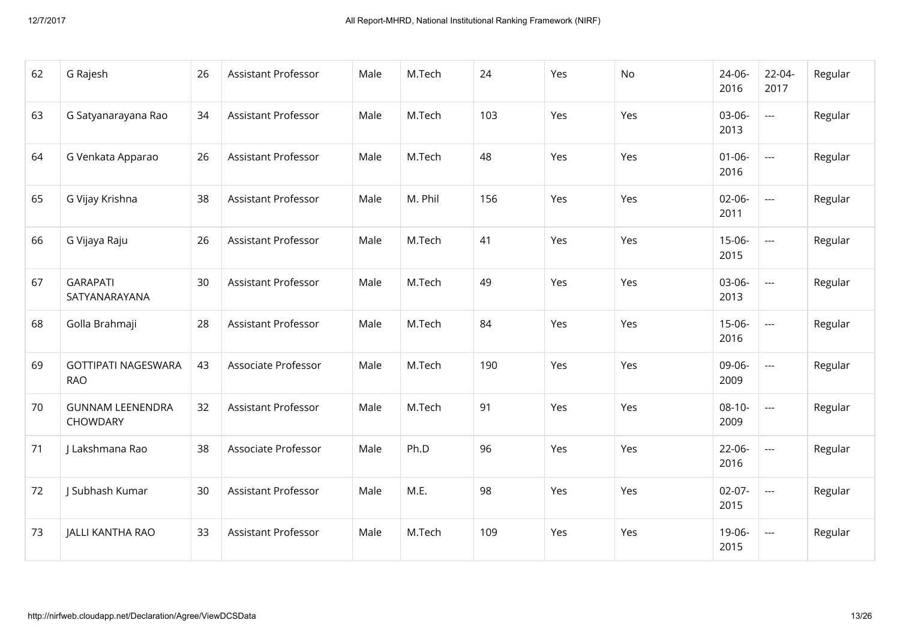| 62 | G Rajesh                                 | 26 | <b>Assistant Professor</b> | Male | M.Tech  | 24  | Yes | No  | 24-06-<br>2016      | $22 - 04 -$<br>2017 | Regular |
|----|------------------------------------------|----|----------------------------|------|---------|-----|-----|-----|---------------------|---------------------|---------|
| 63 | G Satyanarayana Rao                      | 34 | <b>Assistant Professor</b> | Male | M.Tech  | 103 | Yes | Yes | 03-06-<br>2013      | $\frac{1}{2}$       | Regular |
| 64 | G Venkata Apparao                        | 26 | <b>Assistant Professor</b> | Male | M.Tech  | 48  | Yes | Yes | $01 - 06 -$<br>2016 | $\frac{1}{2}$       | Regular |
| 65 | G Vijay Krishna                          | 38 | <b>Assistant Professor</b> | Male | M. Phil | 156 | Yes | Yes | $02 - 06 -$<br>2011 | $\frac{1}{2}$       | Regular |
| 66 | G Vijaya Raju                            | 26 | <b>Assistant Professor</b> | Male | M.Tech  | 41  | Yes | Yes | $15 - 06 -$<br>2015 | $\sim$              | Regular |
| 67 | <b>GARAPATI</b><br>SATYANARAYANA         | 30 | <b>Assistant Professor</b> | Male | M.Tech  | 49  | Yes | Yes | 03-06-<br>2013      | $\frac{1}{2}$       | Regular |
| 68 | Golla Brahmaji                           | 28 | <b>Assistant Professor</b> | Male | M.Tech  | 84  | Yes | Yes | $15 - 06 -$<br>2016 | $\sim$ $\sim$       | Regular |
| 69 | <b>GOTTIPATI NAGESWARA</b><br><b>RAO</b> | 43 | Associate Professor        | Male | M.Tech  | 190 | Yes | Yes | 09-06-<br>2009      | $\frac{1}{2}$       | Regular |
| 70 | <b>GUNNAM LEENENDRA</b><br>CHOWDARY      | 32 | <b>Assistant Professor</b> | Male | M.Tech  | 91  | Yes | Yes | $08-10-$<br>2009    | $\sim$ $\sim$       | Regular |
| 71 | J Lakshmana Rao                          | 38 | Associate Professor        | Male | Ph.D    | 96  | Yes | Yes | $22 - 06 -$<br>2016 | $\sim$ $\sim$       | Regular |
| 72 | J Subhash Kumar                          | 30 | <b>Assistant Professor</b> | Male | M.E.    | 98  | Yes | Yes | $02-07-$<br>2015    | $\sim$ $\sim$       | Regular |
| 73 | <b>JALLI KANTHA RAO</b>                  | 33 | <b>Assistant Professor</b> | Male | M.Tech  | 109 | Yes | Yes | 19-06-<br>2015      | $\sim$ $\sim$       | Regular |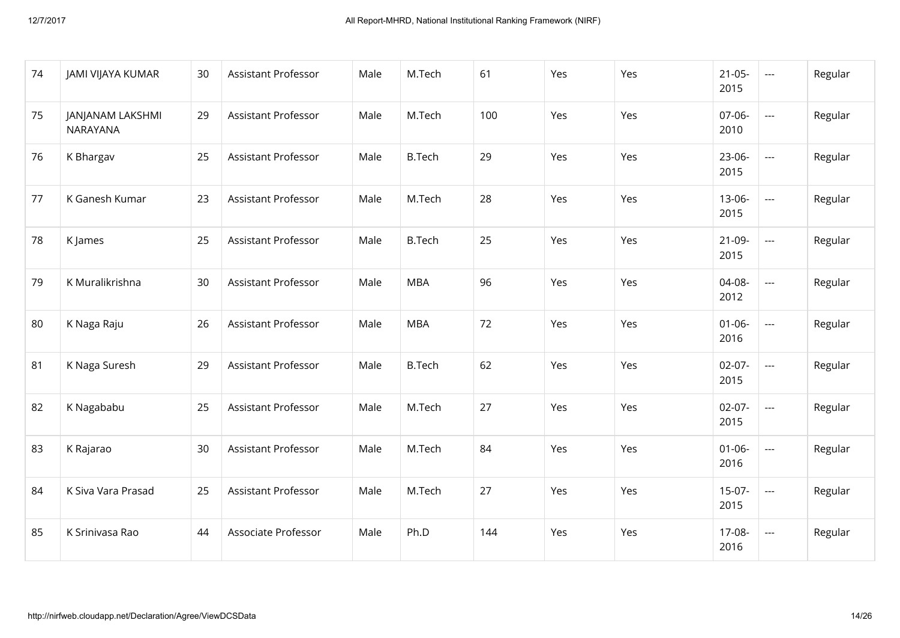| 74 | JAMI VIJAYA KUMAR                          | 30 | Assistant Professor        | Male | M.Tech        | 61  | Yes | Yes | $21 - 05 -$<br>2015 | $\sim$ $\sim$  | Regular |
|----|--------------------------------------------|----|----------------------------|------|---------------|-----|-----|-----|---------------------|----------------|---------|
| 75 | <b>JANJANAM LAKSHMI</b><br><b>NARAYANA</b> | 29 | <b>Assistant Professor</b> | Male | M.Tech        | 100 | Yes | Yes | 07-06-<br>2010      | $\overline{a}$ | Regular |
| 76 | K Bhargav                                  | 25 | <b>Assistant Professor</b> | Male | <b>B.Tech</b> | 29  | Yes | Yes | 23-06-<br>2015      | $\sim$ $\sim$  | Regular |
| 77 | K Ganesh Kumar                             | 23 | <b>Assistant Professor</b> | Male | M.Tech        | 28  | Yes | Yes | $13 - 06 -$<br>2015 | $\sim$ $\sim$  | Regular |
| 78 | K James                                    | 25 | <b>Assistant Professor</b> | Male | <b>B.Tech</b> | 25  | Yes | Yes | $21-09-$<br>2015    | $\frac{1}{2}$  | Regular |
| 79 | K Muralikrishna                            | 30 | <b>Assistant Professor</b> | Male | <b>MBA</b>    | 96  | Yes | Yes | 04-08-<br>2012      | $\sim$         | Regular |
| 80 | K Naga Raju                                | 26 | <b>Assistant Professor</b> | Male | <b>MBA</b>    | 72  | Yes | Yes | $01 - 06 -$<br>2016 | $\sim$         | Regular |
| 81 | K Naga Suresh                              | 29 | <b>Assistant Professor</b> | Male | <b>B.Tech</b> | 62  | Yes | Yes | $02 - 07 -$<br>2015 | $\sim$         | Regular |
| 82 | K Nagababu                                 | 25 | <b>Assistant Professor</b> | Male | M.Tech        | 27  | Yes | Yes | $02 - 07 -$<br>2015 | $\overline{a}$ | Regular |
| 83 | K Rajarao                                  | 30 | <b>Assistant Professor</b> | Male | M.Tech        | 84  | Yes | Yes | $01 - 06 -$<br>2016 | $\overline{a}$ | Regular |
| 84 | K Siva Vara Prasad                         | 25 | <b>Assistant Professor</b> | Male | M.Tech        | 27  | Yes | Yes | $15-07-$<br>2015    | $\overline{a}$ | Regular |
| 85 | K Srinivasa Rao                            | 44 | Associate Professor        | Male | Ph.D          | 144 | Yes | Yes | $17 - 08 -$<br>2016 | $\sim$         | Regular |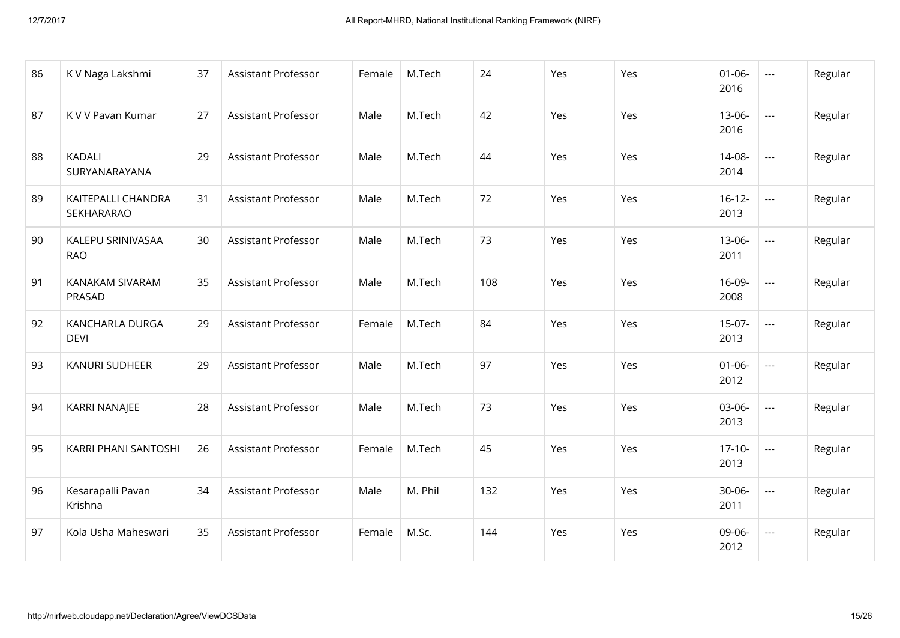| 86 | K V Naga Lakshmi                 | 37 | <b>Assistant Professor</b> | Female | M.Tech  | 24  | Yes | Yes | $01 - 06 -$<br>2016 | $\overline{a}$ | Regular |
|----|----------------------------------|----|----------------------------|--------|---------|-----|-----|-----|---------------------|----------------|---------|
| 87 | K V V Pavan Kumar                | 27 | <b>Assistant Professor</b> | Male   | M.Tech  | 42  | Yes | Yes | $13 - 06 -$<br>2016 | $\overline{a}$ | Regular |
| 88 | <b>KADALI</b><br>SURYANARAYANA   | 29 | <b>Assistant Professor</b> | Male   | M.Tech  | 44  | Yes | Yes | $14 - 08 -$<br>2014 | $\frac{1}{2}$  | Regular |
| 89 | KAITEPALLI CHANDRA<br>SEKHARARAO | 31 | <b>Assistant Professor</b> | Male   | M.Tech  | 72  | Yes | Yes | $16 - 12 -$<br>2013 | $\sim$ $\sim$  | Regular |
| 90 | KALEPU SRINIVASAA<br><b>RAO</b>  | 30 | <b>Assistant Professor</b> | Male   | M.Tech  | 73  | Yes | Yes | $13 - 06 -$<br>2011 | $\frac{1}{2}$  | Regular |
| 91 | KANAKAM SIVARAM<br>PRASAD        | 35 | <b>Assistant Professor</b> | Male   | M.Tech  | 108 | Yes | Yes | $16-09-$<br>2008    | $\overline{a}$ | Regular |
| 92 | KANCHARLA DURGA<br><b>DEVI</b>   | 29 | Assistant Professor        | Female | M.Tech  | 84  | Yes | Yes | $15-07-$<br>2013    | $\frac{1}{2}$  | Regular |
| 93 | KANURI SUDHEER                   | 29 | <b>Assistant Professor</b> | Male   | M.Tech  | 97  | Yes | Yes | $01 - 06 -$<br>2012 | $\sim$         | Regular |
| 94 | KARRI NANAJEE                    | 28 | <b>Assistant Professor</b> | Male   | M.Tech  | 73  | Yes | Yes | 03-06-<br>2013      | $\sim$         | Regular |
| 95 | KARRI PHANI SANTOSHI             | 26 | <b>Assistant Professor</b> | Female | M.Tech  | 45  | Yes | Yes | $17-10-$<br>2013    | $\overline{a}$ | Regular |
| 96 | Kesarapalli Pavan<br>Krishna     | 34 | <b>Assistant Professor</b> | Male   | M. Phil | 132 | Yes | Yes | $30 - 06 -$<br>2011 | $\frac{1}{2}$  | Regular |
| 97 | Kola Usha Maheswari              | 35 | Assistant Professor        | Female | M.Sc.   | 144 | Yes | Yes | 09-06-<br>2012      | $\sim$ $\sim$  | Regular |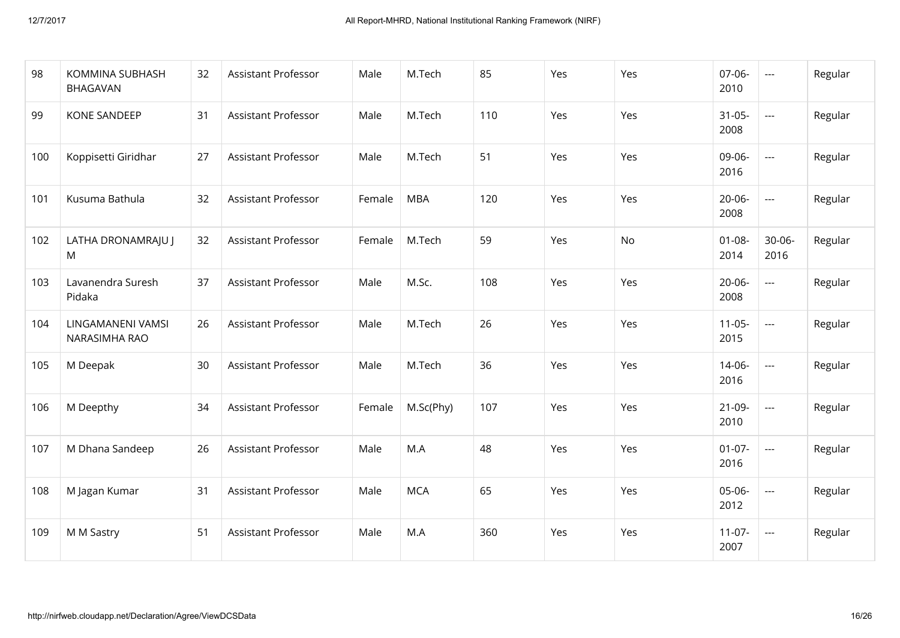| 98  | KOMMINA SUBHASH<br><b>BHAGAVAN</b> | 32 | <b>Assistant Professor</b> | Male   | M.Tech     | 85  | Yes | Yes | $07 - 06 -$<br>2010 | $\frac{1}{2}$       | Regular |
|-----|------------------------------------|----|----------------------------|--------|------------|-----|-----|-----|---------------------|---------------------|---------|
| 99  | <b>KONE SANDEEP</b>                | 31 | <b>Assistant Professor</b> | Male   | M.Tech     | 110 | Yes | Yes | $31 - 05 -$<br>2008 | $\frac{1}{2}$       | Regular |
| 100 | Koppisetti Giridhar                | 27 | <b>Assistant Professor</b> | Male   | M.Tech     | 51  | Yes | Yes | 09-06-<br>2016      | $\frac{1}{2}$       | Regular |
| 101 | Kusuma Bathula                     | 32 | <b>Assistant Professor</b> | Female | <b>MBA</b> | 120 | Yes | Yes | $20 - 06 -$<br>2008 | $\frac{1}{2}$       | Regular |
| 102 | LATHA DRONAMRAJU J<br>M            | 32 | <b>Assistant Professor</b> | Female | M.Tech     | 59  | Yes | No  | $01 - 08 -$<br>2014 | $30 - 06 -$<br>2016 | Regular |
| 103 | Lavanendra Suresh<br>Pidaka        | 37 | <b>Assistant Professor</b> | Male   | M.Sc.      | 108 | Yes | Yes | $20 - 06 -$<br>2008 | $\sim$ $\sim$       | Regular |
| 104 | LINGAMANENI VAMSI<br>NARASIMHA RAO | 26 | <b>Assistant Professor</b> | Male   | M.Tech     | 26  | Yes | Yes | $11-05-$<br>2015    | $\sim$ $\sim$       | Regular |
| 105 | M Deepak                           | 30 | <b>Assistant Professor</b> | Male   | M.Tech     | 36  | Yes | Yes | 14-06-<br>2016      | $\sim$ $\sim$       | Regular |
| 106 | M Deepthy                          | 34 | <b>Assistant Professor</b> | Female | M.Sc(Phy)  | 107 | Yes | Yes | $21-09-$<br>2010    | $\frac{1}{2}$       | Regular |
| 107 | M Dhana Sandeep                    | 26 | <b>Assistant Professor</b> | Male   | M.A        | 48  | Yes | Yes | $01-07-$<br>2016    | $\sim$              | Regular |
| 108 | M Jagan Kumar                      | 31 | <b>Assistant Professor</b> | Male   | <b>MCA</b> | 65  | Yes | Yes | 05-06-<br>2012      | $\frac{1}{2}$       | Regular |
| 109 | M M Sastry                         | 51 | <b>Assistant Professor</b> | Male   | M.A        | 360 | Yes | Yes | $11-07-$<br>2007    | $\frac{1}{2}$       | Regular |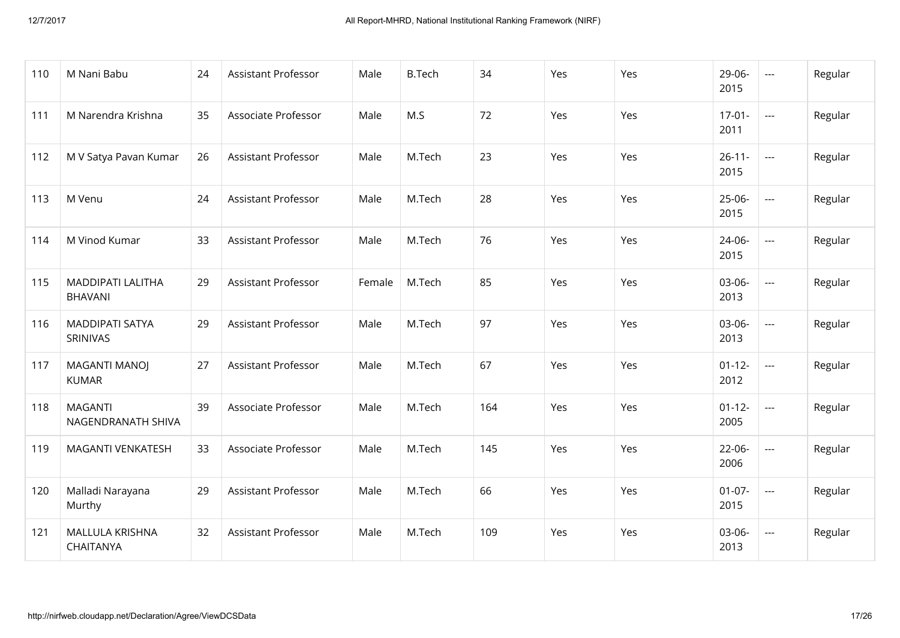| 110 | M Nani Babu                                | 24 | <b>Assistant Professor</b> | Male   | <b>B.Tech</b> | 34  | Yes | Yes | 29-06-<br>2015      | $\sim$        | Regular |
|-----|--------------------------------------------|----|----------------------------|--------|---------------|-----|-----|-----|---------------------|---------------|---------|
| 111 | M Narendra Krishna                         | 35 | Associate Professor        | Male   | M.S           | 72  | Yes | Yes | $17-01-$<br>2011    | $\frac{1}{2}$ | Regular |
| 112 | M V Satya Pavan Kumar                      | 26 | <b>Assistant Professor</b> | Male   | M.Tech        | 23  | Yes | Yes | $26 - 11 -$<br>2015 | $\frac{1}{2}$ | Regular |
| 113 | M Venu                                     | 24 | <b>Assistant Professor</b> | Male   | M.Tech        | 28  | Yes | Yes | $25 - 06 -$<br>2015 | $\frac{1}{2}$ | Regular |
| 114 | M Vinod Kumar                              | 33 | <b>Assistant Professor</b> | Male   | M.Tech        | 76  | Yes | Yes | $24 - 06 -$<br>2015 | $\frac{1}{2}$ | Regular |
| 115 | <b>MADDIPATI LALITHA</b><br><b>BHAVANI</b> | 29 | <b>Assistant Professor</b> | Female | M.Tech        | 85  | Yes | Yes | 03-06-<br>2013      | $\sim$ $\sim$ | Regular |
| 116 | <b>MADDIPATI SATYA</b><br>SRINIVAS         | 29 | <b>Assistant Professor</b> | Male   | M.Tech        | 97  | Yes | Yes | 03-06-<br>2013      | $\frac{1}{2}$ | Regular |
| 117 | <b>MAGANTI MANOJ</b><br><b>KUMAR</b>       | 27 | <b>Assistant Professor</b> | Male   | M.Tech        | 67  | Yes | Yes | $01 - 12 -$<br>2012 | $\sim$        | Regular |
| 118 | <b>MAGANTI</b><br>NAGENDRANATH SHIVA       | 39 | Associate Professor        | Male   | M.Tech        | 164 | Yes | Yes | $01 - 12 -$<br>2005 | $\frac{1}{2}$ | Regular |
| 119 | <b>MAGANTI VENKATESH</b>                   | 33 | Associate Professor        | Male   | M.Tech        | 145 | Yes | Yes | $22 - 06 -$<br>2006 | $\frac{1}{2}$ | Regular |
| 120 | Malladi Narayana<br>Murthy                 | 29 | <b>Assistant Professor</b> | Male   | M.Tech        | 66  | Yes | Yes | $01-07-$<br>2015    | $\frac{1}{2}$ | Regular |
| 121 | MALLULA KRISHNA<br>CHAITANYA               | 32 | <b>Assistant Professor</b> | Male   | M.Tech        | 109 | Yes | Yes | 03-06-<br>2013      | $\sim$ $\sim$ | Regular |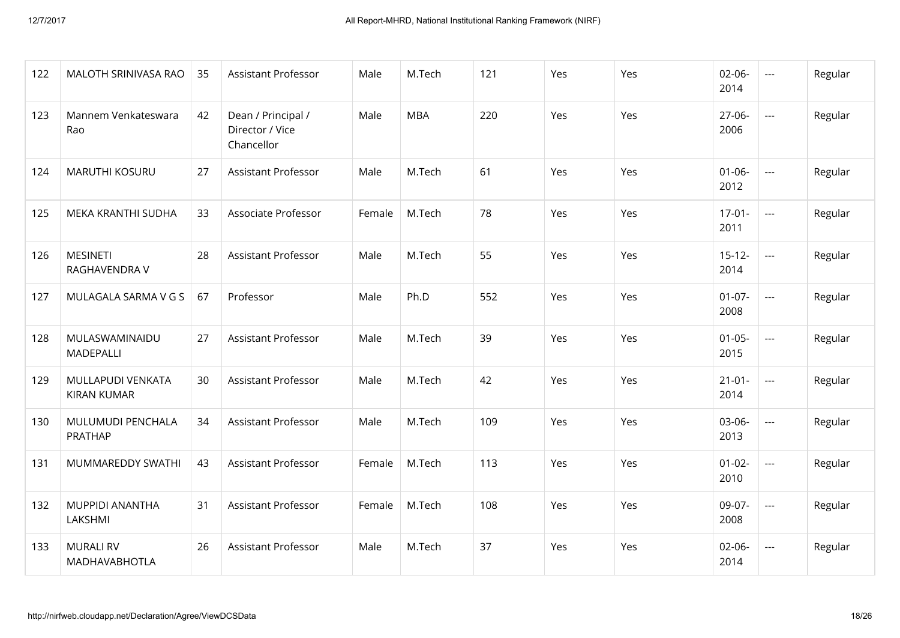| 122 | MALOTH SRINIVASA RAO                    | 35 | <b>Assistant Professor</b>                          | Male   | M.Tech     | 121 | Yes | Yes | $02 - 06 -$<br>2014 | $\sim$                   | Regular |
|-----|-----------------------------------------|----|-----------------------------------------------------|--------|------------|-----|-----|-----|---------------------|--------------------------|---------|
| 123 | Mannem Venkateswara<br>Rao              | 42 | Dean / Principal /<br>Director / Vice<br>Chancellor | Male   | <b>MBA</b> | 220 | Yes | Yes | 27-06-<br>2006      | $\overline{\phantom{a}}$ | Regular |
| 124 | MARUTHI KOSURU                          | 27 | Assistant Professor                                 | Male   | M.Tech     | 61  | Yes | Yes | $01 - 06 -$<br>2012 | $\overline{\phantom{a}}$ | Regular |
| 125 | MEKA KRANTHI SUDHA                      | 33 | Associate Professor                                 | Female | M.Tech     | 78  | Yes | Yes | $17 - 01 -$<br>2011 | $\sim$                   | Regular |
| 126 | <b>MESINETI</b><br>RAGHAVENDRA V        | 28 | <b>Assistant Professor</b>                          | Male   | M.Tech     | 55  | Yes | Yes | $15 - 12 -$<br>2014 | $\overline{a}$           | Regular |
| 127 | MULAGALA SARMA V G S                    | 67 | Professor                                           | Male   | Ph.D       | 552 | Yes | Yes | $01 - 07 -$<br>2008 | $\overline{\phantom{a}}$ | Regular |
| 128 | MULASWAMINAIDU<br>MADEPALLI             | 27 | <b>Assistant Professor</b>                          | Male   | M.Tech     | 39  | Yes | Yes | $01 - 05 -$<br>2015 | $\sim$                   | Regular |
| 129 | MULLAPUDI VENKATA<br><b>KIRAN KUMAR</b> | 30 | <b>Assistant Professor</b>                          | Male   | M.Tech     | 42  | Yes | Yes | $21 - 01 -$<br>2014 | $\sim$ $\sim$            | Regular |
| 130 | MULUMUDI PENCHALA<br>PRATHAP            | 34 | <b>Assistant Professor</b>                          | Male   | M.Tech     | 109 | Yes | Yes | 03-06-<br>2013      | $\overline{\phantom{a}}$ | Regular |
| 131 | MUMMAREDDY SWATHI                       | 43 | <b>Assistant Professor</b>                          | Female | M.Tech     | 113 | Yes | Yes | $01 - 02 -$<br>2010 | $\overline{a}$           | Regular |
| 132 | <b>MUPPIDI ANANTHA</b><br>LAKSHMI       | 31 | Assistant Professor                                 | Female | M.Tech     | 108 | Yes | Yes | 09-07-<br>2008      | $\overline{a}$           | Regular |
| 133 | <b>MURALI RV</b><br>MADHAVABHOTLA       | 26 | <b>Assistant Professor</b>                          | Male   | M.Tech     | 37  | Yes | Yes | 02-06-<br>2014      | $\overline{a}$           | Regular |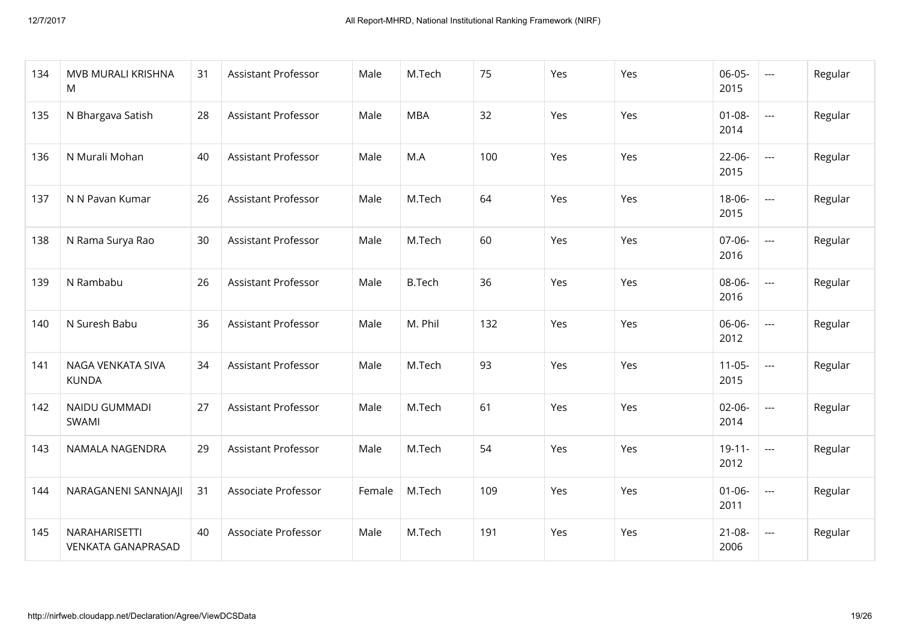| 134 | MVB MURALI KRISHNA<br>M                    | 31 | <b>Assistant Professor</b> | Male   | M.Tech        | 75  | Yes | Yes | $06 - 05 -$<br>2015 | $\sim$ $\sim$  | Regular |
|-----|--------------------------------------------|----|----------------------------|--------|---------------|-----|-----|-----|---------------------|----------------|---------|
| 135 | N Bhargava Satish                          | 28 | <b>Assistant Professor</b> | Male   | <b>MBA</b>    | 32  | Yes | Yes | $01 - 08 -$<br>2014 | $\overline{a}$ | Regular |
| 136 | N Murali Mohan                             | 40 | <b>Assistant Professor</b> | Male   | M.A           | 100 | Yes | Yes | $22 - 06 -$<br>2015 | $\sim$ $\sim$  | Regular |
| 137 | N N Pavan Kumar                            | 26 | <b>Assistant Professor</b> | Male   | M.Tech        | 64  | Yes | Yes | 18-06-<br>2015      | $\sim$ $\sim$  | Regular |
| 138 | N Rama Surya Rao                           | 30 | <b>Assistant Professor</b> | Male   | M.Tech        | 60  | Yes | Yes | $07 - 06 -$<br>2016 | $\overline{a}$ | Regular |
| 139 | N Rambabu                                  | 26 | <b>Assistant Professor</b> | Male   | <b>B.Tech</b> | 36  | Yes | Yes | 08-06-<br>2016      | $\overline{a}$ | Regular |
| 140 | N Suresh Babu                              | 36 | <b>Assistant Professor</b> | Male   | M. Phil       | 132 | Yes | Yes | 06-06-<br>2012      | $\sim$ $\sim$  | Regular |
| 141 | NAGA VENKATA SIVA<br><b>KUNDA</b>          | 34 | <b>Assistant Professor</b> | Male   | M.Tech        | 93  | Yes | Yes | $11-05-$<br>2015    | $\sim$ $\sim$  | Regular |
| 142 | NAIDU GUMMADI<br>SWAMI                     | 27 | Assistant Professor        | Male   | M.Tech        | 61  | Yes | Yes | $02 - 06 -$<br>2014 | $\overline{a}$ | Regular |
| 143 | NAMALA NAGENDRA                            | 29 | <b>Assistant Professor</b> | Male   | M.Tech        | 54  | Yes | Yes | $19 - 11 -$<br>2012 | $\overline{a}$ | Regular |
| 144 | NARAGANENI SANNAJAJI                       | 31 | Associate Professor        | Female | M.Tech        | 109 | Yes | Yes | $01 - 06 -$<br>2011 | $\sim$ $\sim$  | Regular |
| 145 | NARAHARISETTI<br><b>VENKATA GANAPRASAD</b> | 40 | Associate Professor        | Male   | M.Tech        | 191 | Yes | Yes | $21 - 08 -$<br>2006 | $\sim$         | Regular |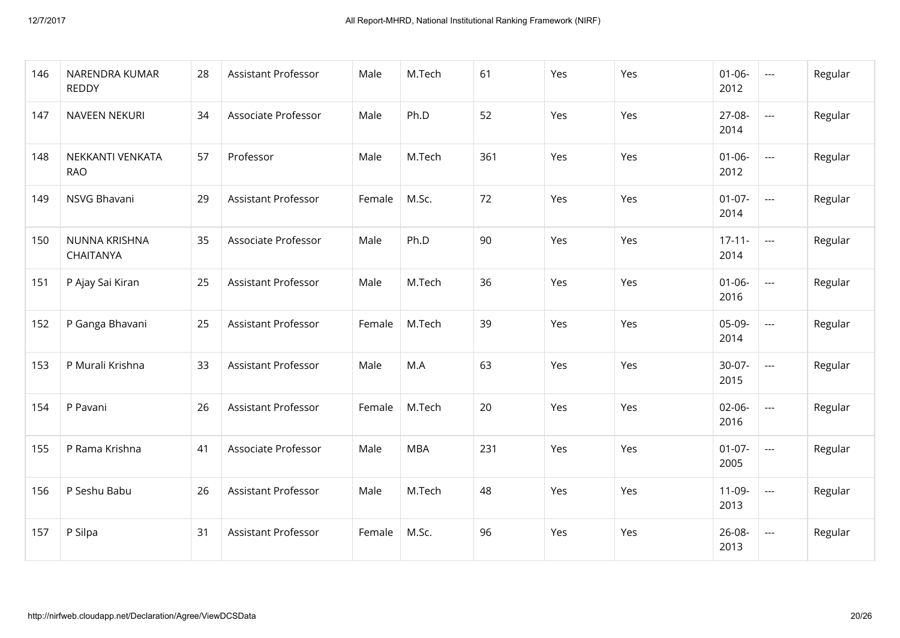| 146 | NARENDRA KUMAR<br><b>REDDY</b> | 28 | <b>Assistant Professor</b> | Male   | M.Tech     | 61  | Yes | Yes | $01 - 06 -$<br>2012 | $\frac{1}{2}$ | Regular |
|-----|--------------------------------|----|----------------------------|--------|------------|-----|-----|-----|---------------------|---------------|---------|
| 147 | NAVEEN NEKURI                  | 34 | Associate Professor        | Male   | Ph.D       | 52  | Yes | Yes | 27-08-<br>2014      | $\frac{1}{2}$ | Regular |
| 148 | NEKKANTI VENKATA<br><b>RAO</b> | 57 | Professor                  | Male   | M.Tech     | 361 | Yes | Yes | $01 - 06 -$<br>2012 | $\frac{1}{2}$ | Regular |
| 149 | NSVG Bhavani                   | 29 | <b>Assistant Professor</b> | Female | M.Sc.      | 72  | Yes | Yes | $01-07-$<br>2014    | $\frac{1}{2}$ | Regular |
| 150 | NUNNA KRISHNA<br>CHAITANYA     | 35 | Associate Professor        | Male   | Ph.D       | 90  | Yes | Yes | $17 - 11 -$<br>2014 | $\sim$        | Regular |
| 151 | P Ajay Sai Kiran               | 25 | <b>Assistant Professor</b> | Male   | M.Tech     | 36  | Yes | Yes | $01 - 06 -$<br>2016 | $\sim$ $\sim$ | Regular |
| 152 | P Ganga Bhavani                | 25 | <b>Assistant Professor</b> | Female | M.Tech     | 39  | Yes | Yes | 05-09-<br>2014      | $\sim$        | Regular |
| 153 | P Murali Krishna               | 33 | Assistant Professor        | Male   | M.A        | 63  | Yes | Yes | $30 - 07 -$<br>2015 | $\sim$ $\sim$ | Regular |
| 154 | P Pavani                       | 26 | <b>Assistant Professor</b> | Female | M.Tech     | 20  | Yes | Yes | $02 - 06 -$<br>2016 | $\sim$ $\sim$ | Regular |
| 155 | P Rama Krishna                 | 41 | Associate Professor        | Male   | <b>MBA</b> | 231 | Yes | Yes | $01-07-$<br>2005    | $\sim$        | Regular |
| 156 | P Seshu Babu                   | 26 | <b>Assistant Professor</b> | Male   | M.Tech     | 48  | Yes | Yes | $11-09-$<br>2013    | $\frac{1}{2}$ | Regular |
| 157 | P Silpa                        | 31 | <b>Assistant Professor</b> | Female | M.Sc.      | 96  | Yes | Yes | $26 - 08 -$<br>2013 | $\frac{1}{2}$ | Regular |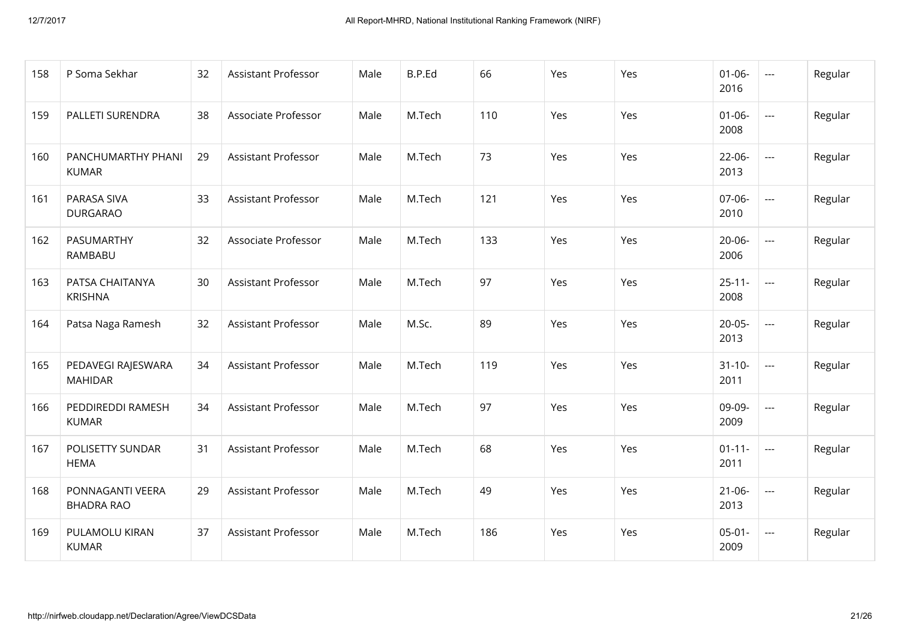| 158 | P Soma Sekhar                         | 32 | <b>Assistant Professor</b> | Male | B.P.Ed | 66  | Yes | Yes | $01 - 06 -$<br>2016 | $\frac{1}{2}$ | Regular |
|-----|---------------------------------------|----|----------------------------|------|--------|-----|-----|-----|---------------------|---------------|---------|
| 159 | PALLETI SURENDRA                      | 38 | Associate Professor        | Male | M.Tech | 110 | Yes | Yes | $01 - 06 -$<br>2008 | $\frac{1}{2}$ | Regular |
| 160 | PANCHUMARTHY PHANI<br><b>KUMAR</b>    | 29 | <b>Assistant Professor</b> | Male | M.Tech | 73  | Yes | Yes | $22 - 06 -$<br>2013 | $\sim$        | Regular |
| 161 | <b>PARASA SIVA</b><br><b>DURGARAO</b> | 33 | <b>Assistant Professor</b> | Male | M.Tech | 121 | Yes | Yes | $07-06-$<br>2010    | $\frac{1}{2}$ | Regular |
| 162 | PASUMARTHY<br>RAMBABU                 | 32 | Associate Professor        | Male | M.Tech | 133 | Yes | Yes | $20 - 06 -$<br>2006 | $\frac{1}{2}$ | Regular |
| 163 | PATSA CHAITANYA<br><b>KRISHNA</b>     | 30 | <b>Assistant Professor</b> | Male | M.Tech | 97  | Yes | Yes | $25 - 11 -$<br>2008 | $\frac{1}{2}$ | Regular |
| 164 | Patsa Naga Ramesh                     | 32 | <b>Assistant Professor</b> | Male | M.Sc.  | 89  | Yes | Yes | $20 - 05 -$<br>2013 | $\frac{1}{2}$ | Regular |
| 165 | PEDAVEGI RAJESWARA<br><b>MAHIDAR</b>  | 34 | <b>Assistant Professor</b> | Male | M.Tech | 119 | Yes | Yes | $31 - 10 -$<br>2011 | $\frac{1}{2}$ | Regular |
| 166 | PEDDIREDDI RAMESH<br><b>KUMAR</b>     | 34 | <b>Assistant Professor</b> | Male | M.Tech | 97  | Yes | Yes | 09-09-<br>2009      | $\frac{1}{2}$ | Regular |
| 167 | POLISETTY SUNDAR<br><b>HEMA</b>       | 31 | <b>Assistant Professor</b> | Male | M.Tech | 68  | Yes | Yes | $01 - 11 -$<br>2011 | $\sim$ $\sim$ | Regular |
| 168 | PONNAGANTI VEERA<br><b>BHADRA RAO</b> | 29 | <b>Assistant Professor</b> | Male | M.Tech | 49  | Yes | Yes | $21 - 06 -$<br>2013 | $\sim$        | Regular |
| 169 | PULAMOLU KIRAN<br><b>KUMAR</b>        | 37 | <b>Assistant Professor</b> | Male | M.Tech | 186 | Yes | Yes | $05 - 01 -$<br>2009 | $\frac{1}{2}$ | Regular |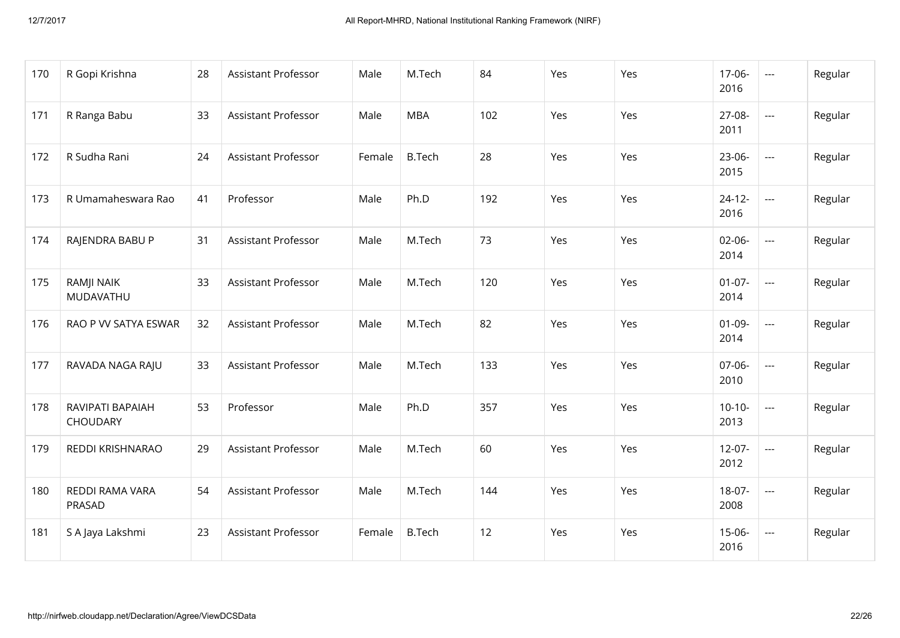| 170 | R Gopi Krishna               | 28 | <b>Assistant Professor</b> | Male   | M.Tech        | 84  | Yes | Yes | $17-06-$<br>2016    | $\frac{1}{2}$ | Regular |
|-----|------------------------------|----|----------------------------|--------|---------------|-----|-----|-----|---------------------|---------------|---------|
| 171 | R Ranga Babu                 | 33 | <b>Assistant Professor</b> | Male   | <b>MBA</b>    | 102 | Yes | Yes | 27-08-<br>2011      | $\frac{1}{2}$ | Regular |
| 172 | R Sudha Rani                 | 24 | <b>Assistant Professor</b> | Female | <b>B.Tech</b> | 28  | Yes | Yes | $23-06-$<br>2015    | $\sim$        | Regular |
| 173 | R Umamaheswara Rao           | 41 | Professor                  | Male   | Ph.D          | 192 | Yes | Yes | $24 - 12 -$<br>2016 | $\sim$        | Regular |
| 174 | RAJENDRA BABU P              | 31 | <b>Assistant Professor</b> | Male   | M.Tech        | 73  | Yes | Yes | $02 - 06 -$<br>2014 | $\frac{1}{2}$ | Regular |
| 175 | RAMJI NAIK<br>MUDAVATHU      | 33 | <b>Assistant Professor</b> | Male   | M.Tech        | 120 | Yes | Yes | $01-07-$<br>2014    | $\frac{1}{2}$ | Regular |
| 176 | RAO P VV SATYA ESWAR         | 32 | <b>Assistant Professor</b> | Male   | M.Tech        | 82  | Yes | Yes | $01-09-$<br>2014    | $\frac{1}{2}$ | Regular |
| 177 | RAVADA NAGA RAJU             | 33 | <b>Assistant Professor</b> | Male   | M.Tech        | 133 | Yes | Yes | $07-06-$<br>2010    | $\frac{1}{2}$ | Regular |
| 178 | RAVIPATI BAPAIAH<br>CHOUDARY | 53 | Professor                  | Male   | Ph.D          | 357 | Yes | Yes | $10-10-$<br>2013    | $\frac{1}{2}$ | Regular |
| 179 | REDDI KRISHNARAO             | 29 | <b>Assistant Professor</b> | Male   | M.Tech        | 60  | Yes | Yes | $12 - 07 -$<br>2012 | $\sim$ $\sim$ | Regular |
| 180 | REDDI RAMA VARA<br>PRASAD    | 54 | <b>Assistant Professor</b> | Male   | M.Tech        | 144 | Yes | Yes | $18-07-$<br>2008    | $\frac{1}{2}$ | Regular |
| 181 | S A Jaya Lakshmi             | 23 | <b>Assistant Professor</b> | Female | <b>B.Tech</b> | 12  | Yes | Yes | $15 - 06 -$<br>2016 | $\sim$        | Regular |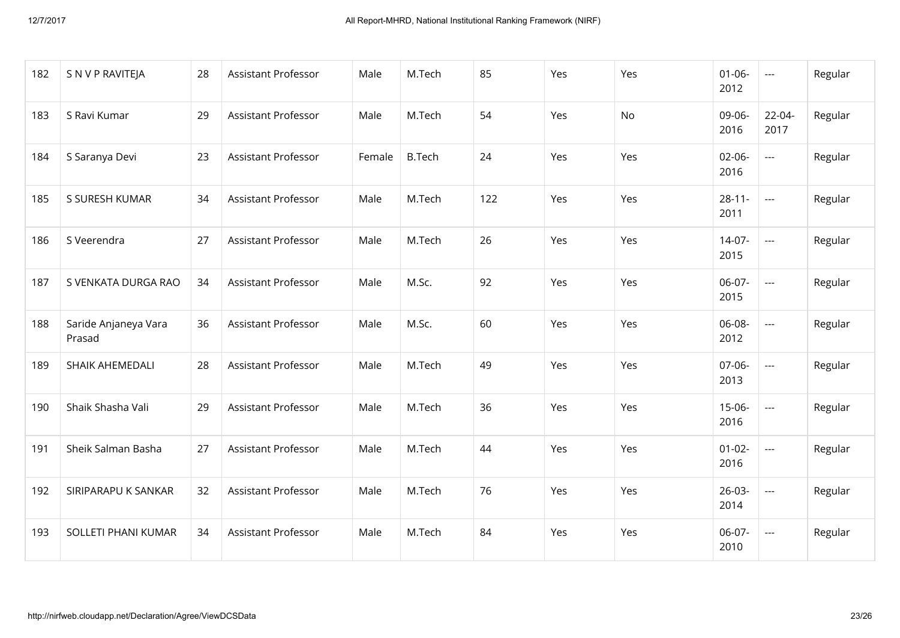| 182 | S N V P RAVITEJA               | 28 | <b>Assistant Professor</b> | Male   | M.Tech        | 85  | Yes | Yes | $01 - 06 -$<br>2012 | $\frac{1}{2}$       | Regular |
|-----|--------------------------------|----|----------------------------|--------|---------------|-----|-----|-----|---------------------|---------------------|---------|
| 183 | S Ravi Kumar                   | 29 | <b>Assistant Professor</b> | Male   | M.Tech        | 54  | Yes | No  | 09-06-<br>2016      | $22 - 04 -$<br>2017 | Regular |
| 184 | S Saranya Devi                 | 23 | <b>Assistant Professor</b> | Female | <b>B.Tech</b> | 24  | Yes | Yes | $02 - 06 -$<br>2016 | $\frac{1}{2}$       | Regular |
| 185 | S SURESH KUMAR                 | 34 | <b>Assistant Professor</b> | Male   | M.Tech        | 122 | Yes | Yes | $28 - 11 -$<br>2011 | $\sim$ $\sim$       | Regular |
| 186 | S Veerendra                    | 27 | <b>Assistant Professor</b> | Male   | M.Tech        | 26  | Yes | Yes | $14-07-$<br>2015    | $\sim$              | Regular |
| 187 | S VENKATA DURGA RAO            | 34 | <b>Assistant Professor</b> | Male   | M.Sc.         | 92  | Yes | Yes | 06-07-<br>2015      | $\sim$              | Regular |
| 188 | Saride Anjaneya Vara<br>Prasad | 36 | <b>Assistant Professor</b> | Male   | M.Sc.         | 60  | Yes | Yes | 06-08-<br>2012      | $\sim$              | Regular |
| 189 | SHAIK AHEMEDALI                | 28 | <b>Assistant Professor</b> | Male   | M.Tech        | 49  | Yes | Yes | 07-06-<br>2013      | $\frac{1}{2}$       | Regular |
| 190 | Shaik Shasha Vali              | 29 | <b>Assistant Professor</b> | Male   | M.Tech        | 36  | Yes | Yes | $15-06-$<br>2016    | $\frac{1}{2}$       | Regular |
| 191 | Sheik Salman Basha             | 27 | <b>Assistant Professor</b> | Male   | M.Tech        | 44  | Yes | Yes | $01-02-$<br>2016    | $\frac{1}{2}$       | Regular |
| 192 | SIRIPARAPU K SANKAR            | 32 | Assistant Professor        | Male   | M.Tech        | 76  | Yes | Yes | $26 - 03 -$<br>2014 | $\sim$              | Regular |
| 193 | SOLLETI PHANI KUMAR            | 34 | <b>Assistant Professor</b> | Male   | M.Tech        | 84  | Yes | Yes | 06-07-<br>2010      | $\frac{1}{2}$       | Regular |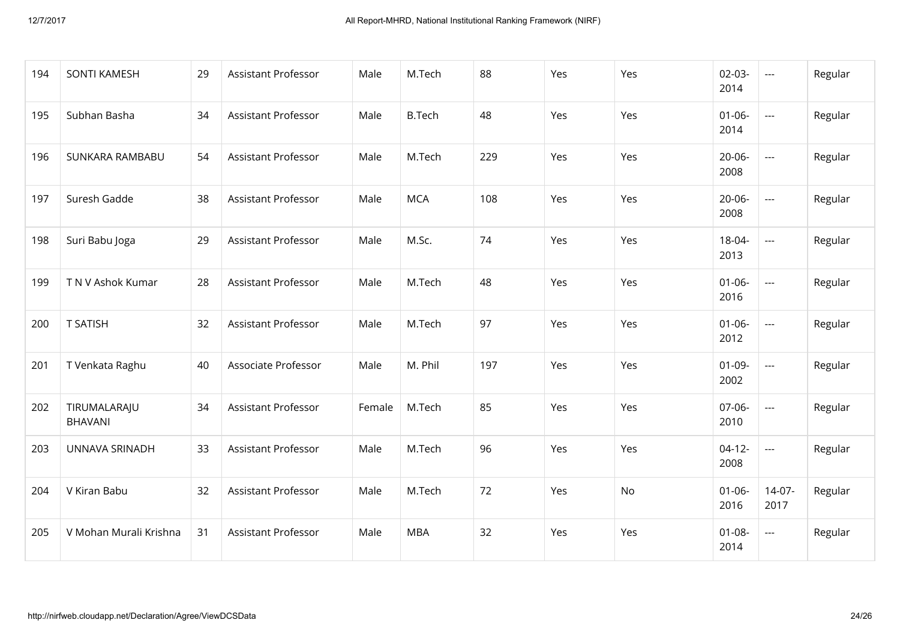| 194 | <b>SONTI KAMESH</b>            | 29 | <b>Assistant Professor</b> | Male   | M.Tech        | 88  | Yes | Yes | $02 - 03 -$<br>2014 | $\sim$ $\sim$    | Regular |
|-----|--------------------------------|----|----------------------------|--------|---------------|-----|-----|-----|---------------------|------------------|---------|
| 195 | Subhan Basha                   | 34 | <b>Assistant Professor</b> | Male   | <b>B.Tech</b> | 48  | Yes | Yes | $01 - 06 -$<br>2014 | $\sim$ $\sim$    | Regular |
| 196 | SUNKARA RAMBABU                | 54 | <b>Assistant Professor</b> | Male   | M.Tech        | 229 | Yes | Yes | $20 - 06 -$<br>2008 | $\sim$ $\sim$    | Regular |
| 197 | Suresh Gadde                   | 38 | <b>Assistant Professor</b> | Male   | <b>MCA</b>    | 108 | Yes | Yes | $20 - 06 -$<br>2008 | $\frac{1}{2}$    | Regular |
| 198 | Suri Babu Joga                 | 29 | <b>Assistant Professor</b> | Male   | M.Sc.         | 74  | Yes | Yes | $18 - 04 -$<br>2013 | $\frac{1}{2}$    | Regular |
| 199 | T N V Ashok Kumar              | 28 | <b>Assistant Professor</b> | Male   | M.Tech        | 48  | Yes | Yes | $01 - 06 -$<br>2016 | $\sim$ $\sim$    | Regular |
| 200 | <b>T SATISH</b>                | 32 | <b>Assistant Professor</b> | Male   | M.Tech        | 97  | Yes | Yes | $01 - 06 -$<br>2012 | $\frac{1}{2}$    | Regular |
| 201 | T Venkata Raghu                | 40 | Associate Professor        | Male   | M. Phil       | 197 | Yes | Yes | $01-09-$<br>2002    | $\frac{1}{2}$    | Regular |
| 202 | TIRUMALARAJU<br><b>BHAVANI</b> | 34 | <b>Assistant Professor</b> | Female | M.Tech        | 85  | Yes | Yes | $07 - 06 -$<br>2010 | $\sim$           | Regular |
| 203 | UNNAVA SRINADH                 | 33 | <b>Assistant Professor</b> | Male   | M.Tech        | 96  | Yes | Yes | $04-12-$<br>2008    | $\sim$           | Regular |
| 204 | V Kiran Babu                   | 32 | <b>Assistant Professor</b> | Male   | M.Tech        | 72  | Yes | No  | $01 - 06 -$<br>2016 | $14-07-$<br>2017 | Regular |
| 205 | V Mohan Murali Krishna         | 31 | <b>Assistant Professor</b> | Male   | <b>MBA</b>    | 32  | Yes | Yes | $01 - 08 -$<br>2014 | $\sim$ $\sim$    | Regular |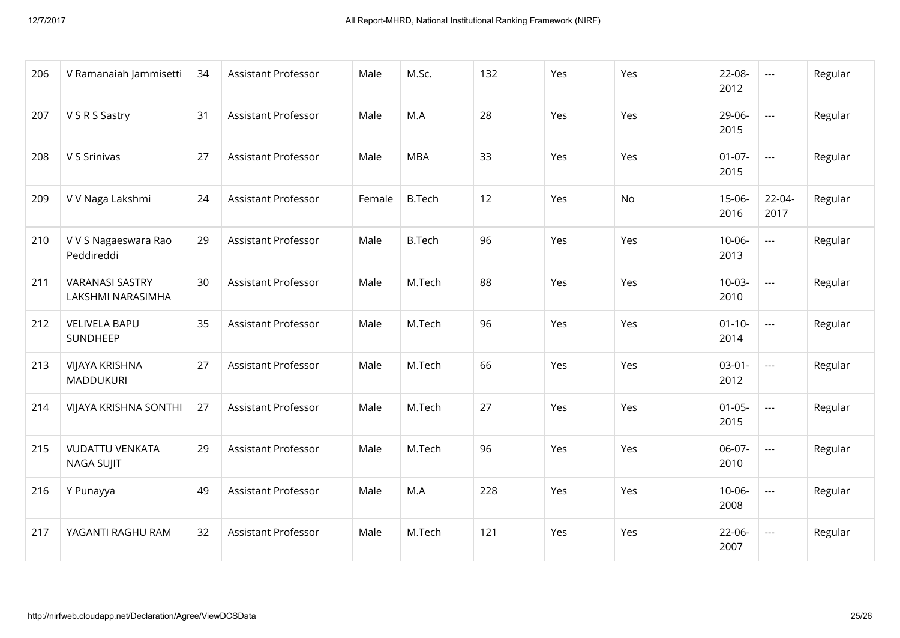| 206 | V Ramanaiah Jammisetti                      | 34 | <b>Assistant Professor</b> | Male   | M.Sc.         | 132 | Yes | Yes | $22 - 08 -$<br>2012 | $\sim$ $\sim$            | Regular |
|-----|---------------------------------------------|----|----------------------------|--------|---------------|-----|-----|-----|---------------------|--------------------------|---------|
| 207 | V S R S Sastry                              | 31 | <b>Assistant Professor</b> | Male   | M.A           | 28  | Yes | Yes | 29-06-<br>2015      | $\overline{a}$           | Regular |
| 208 | V S Srinivas                                | 27 | <b>Assistant Professor</b> | Male   | <b>MBA</b>    | 33  | Yes | Yes | $01 - 07 -$<br>2015 | $\frac{1}{2}$            | Regular |
| 209 | V V Naga Lakshmi                            | 24 | <b>Assistant Professor</b> | Female | <b>B.Tech</b> | 12  | Yes | No  | $15 - 06 -$<br>2016 | $22 - 04 -$<br>2017      | Regular |
| 210 | V V S Nagaeswara Rao<br>Peddireddi          | 29 | <b>Assistant Professor</b> | Male   | <b>B.Tech</b> | 96  | Yes | Yes | $10 - 06 -$<br>2013 | $\sim$                   | Regular |
| 211 | <b>VARANASI SASTRY</b><br>LAKSHMI NARASIMHA | 30 | <b>Assistant Professor</b> | Male   | M.Tech        | 88  | Yes | Yes | $10 - 03 -$<br>2010 | $\overline{\phantom{a}}$ | Regular |
| 212 | <b>VELIVELA BAPU</b><br>SUNDHEEP            | 35 | <b>Assistant Professor</b> | Male   | M.Tech        | 96  | Yes | Yes | $01 - 10 -$<br>2014 | $\frac{1}{2}$            | Regular |
| 213 | <b>VIJAYA KRISHNA</b><br>MADDUKURI          | 27 | <b>Assistant Professor</b> | Male   | M.Tech        | 66  | Yes | Yes | $03-01-$<br>2012    | $\sim$                   | Regular |
| 214 | VIJAYA KRISHNA SONTHI                       | 27 | <b>Assistant Professor</b> | Male   | M.Tech        | 27  | Yes | Yes | $01 - 05 -$<br>2015 | $\sim$                   | Regular |
| 215 | <b>VUDATTU VENKATA</b><br><b>NAGA SUJIT</b> | 29 | <b>Assistant Professor</b> | Male   | M.Tech        | 96  | Yes | Yes | $06-07-$<br>2010    | $\sim$                   | Regular |
| 216 | Y Punayya                                   | 49 | <b>Assistant Professor</b> | Male   | M.A           | 228 | Yes | Yes | $10 - 06 -$<br>2008 | $\sim$                   | Regular |
| 217 | YAGANTI RAGHU RAM                           | 32 | <b>Assistant Professor</b> | Male   | M.Tech        | 121 | Yes | Yes | $22 - 06 -$<br>2007 | $\sim$                   | Regular |